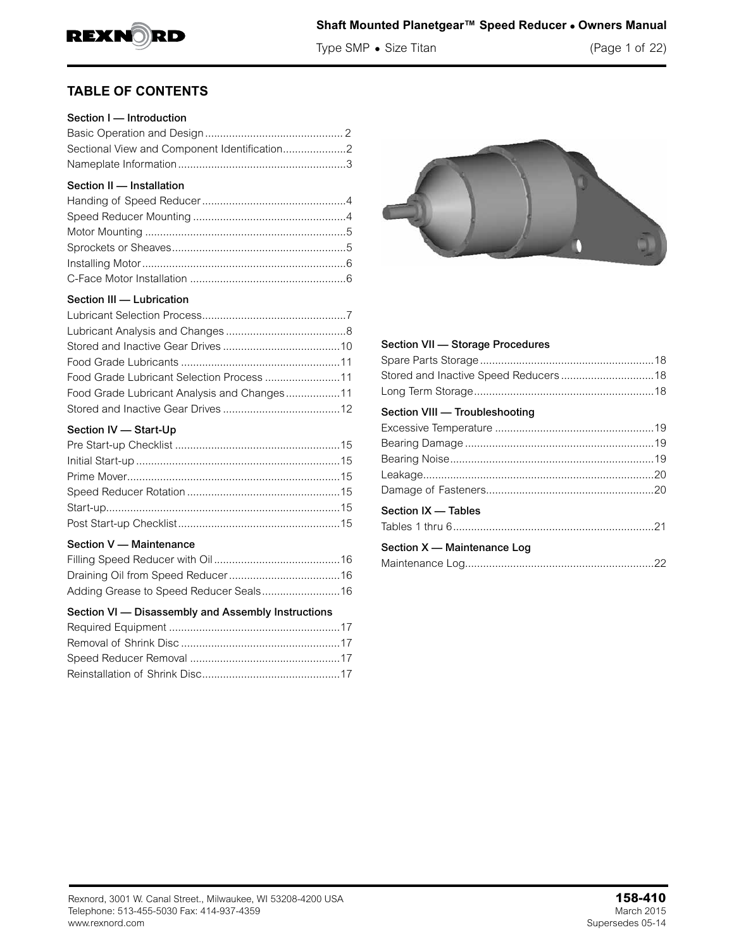

Type SMP • Size Titan (Page 1 of 22)

## **TABLE OF CONTENTS**

|  |  | Section I - Introduction |
|--|--|--------------------------|
|--|--|--------------------------|

## Section II — Installation

#### Section III - Lubrication

| Food Grade Lubricant Selection Process 11 |  |
|-------------------------------------------|--|
|                                           |  |
|                                           |  |

#### Section IV — Start-Up

#### Section V — Maintenance

#### Section VI — Disassembly and Assembly Instructions



| Section VII - Storage Procedures |  |
|----------------------------------|--|
|                                  |  |
|                                  |  |
|                                  |  |
| Section VIII - Troubleshooting   |  |
|                                  |  |
|                                  |  |
|                                  |  |
|                                  |  |
|                                  |  |
| Section IX - Tables              |  |
|                                  |  |
| Section X - Maintenance Log      |  |
|                                  |  |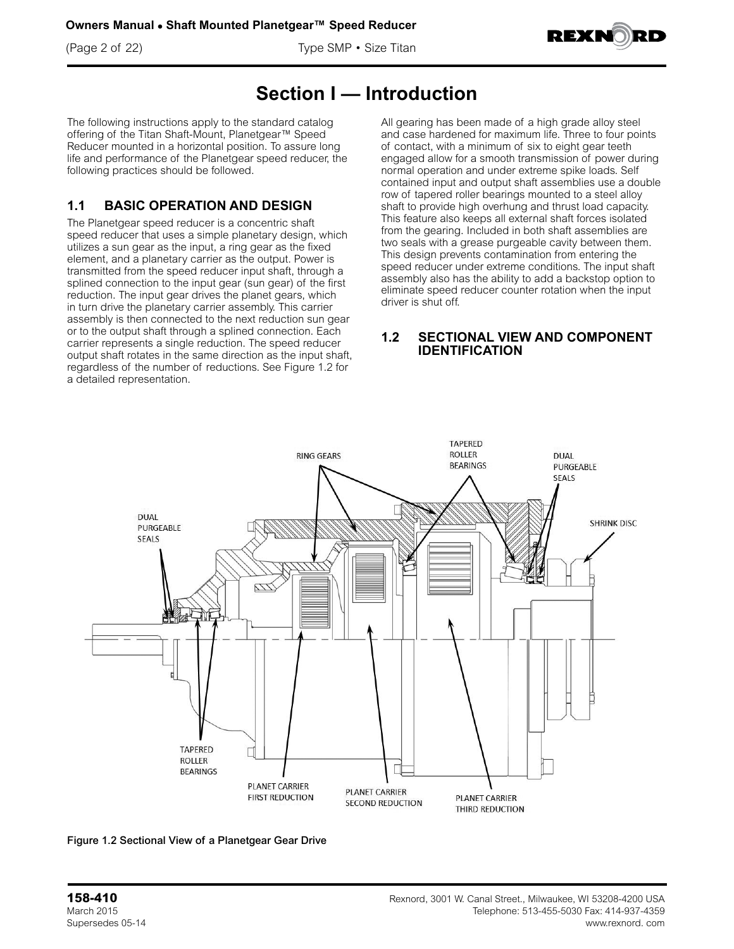(Page 2 of 22) Type SMP • Size Titan



## **Section I — Introduction**

The following instructions apply to the standard catalog offering of the Titan Shaft-Mount, Planetgear<sup>™</sup> Speed Reducer mounted in a horizontal position. To assure long life and performance of the Planetgear speed reducer, the following practices should be followed.

### **1.1 BASIC OPERATION AND DESIGN**

The Planetgear speed reducer is a concentric shaft speed reducer that uses a simple planetary design, which utilizes a sun gear as the input, a ring gear as the fixed element, and a planetary carrier as the output. Power is transmitted from the speed reducer input shaft, through a splined connection to the input gear (sun gear) of the first reduction. The input gear drives the planet gears, which in turn drive the planetary carrier assembly. This carrier assembly is then connected to the next reduction sun gear or to the output shaft through a splined connection. Each carrier represents a single reduction. The speed reducer output shaft rotates in the same direction as the input shaft, regardless of the number of reductions. See Figure 1.2 for a detailed representation.

All gearing has been made of a high grade alloy steel and case hardened for maximum life. Three to four points of contact, with a minimum of six to eight gear teeth engaged allow for a smooth transmission of power during normal operation and under extreme spike loads. Self contained input and output shaft assemblies use a double row of tapered roller bearings mounted to a steel alloy shaft to provide high overhung and thrust load capacity. This feature also keeps all external shaft forces isolated from the gearing. Included in both shaft assemblies are two seals with a grease purgeable cavity between them. This design prevents contamination from entering the speed reducer under extreme conditions. The input shaft assembly also has the ability to add a backstop option to eliminate speed reducer counter rotation when the input driver is shut off.

#### **1.2 SECTIONAL VIEW AND COMPONENT IDENTIFICATION**



Figure 1.2 Sectional View of a Planetgear Gear Drive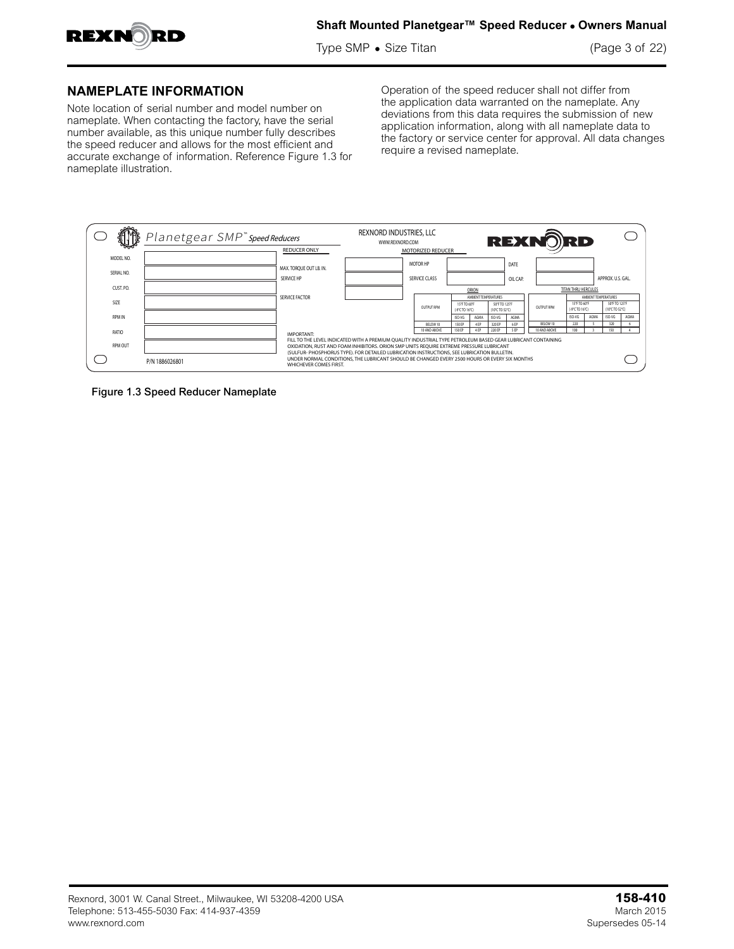

Type SMP • Size Titan (Page 3 of 22)

#### **NAMEPLATE INFORMATION**

Note location of serial number and model number on nameplate. When contacting the factory, have the serial number available, as this unique number fully describes the speed reducer and allows for the most efficient and accurate exchange of information. Reference Figure 1.3 for nameplate illustration.

Operation of the speed reducer shall not differ from the application data warranted on the nameplate. Any deviations from this data requires the submission of new application information, along with all nameplate data to the factory or service center for approval. All data changes require a revised nameplate.



Figure 1.3 Speed Reducer Nameplate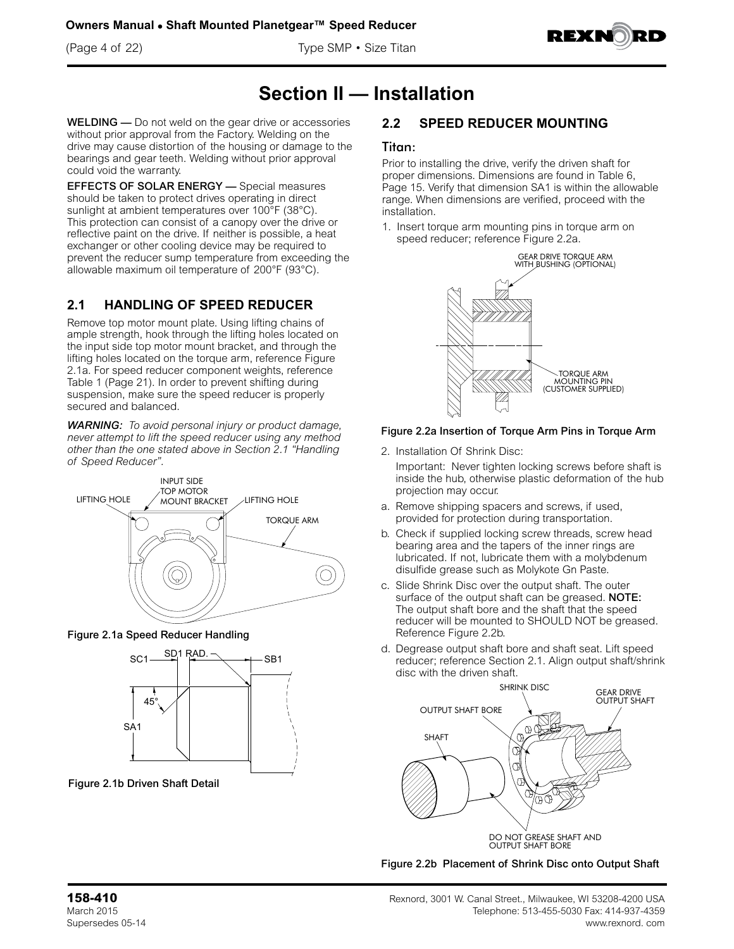**Owners Manual • Shaft Mounted Planetgear™ Speed Reducer**

(Page 4 of 22) Type SMP • Size Titan



## **Section II — Installation**

WELDING — Do not weld on the gear drive or accessories without prior approval from the Factory. Welding on the drive may cause distortion of the housing or damage to the bearings and gear teeth. Welding without prior approval could void the warranty.

EFFECTS OF SOLAR ENERGY — Special measures should be taken to protect drives operating in direct sunlight at ambient temperatures over 100°F (38°C). This protection can consist of a canopy over the drive or reflective paint on the drive. If neither is possible, a heat exchanger or other cooling device may be required to prevent the reducer sump temperature from exceeding the allowable maximum oil temperature of 200°F (93°C).

#### **2.1 HANDLING OF SPEED REDUCER**

Remove top motor mount plate. Using lifting chains of ample strength, hook through the lifting holes located on the input side top motor mount bracket, and through the lifting holes located on the torque arm, reference Figure 2.1a. For speed reducer component weights, reference Table 1 (Page 21). In order to prevent shifting during suspension, make sure the speed reducer is properly secured and balanced.

*WARNING: To avoid personal injury or product damage, never attempt to lift the speed reducer using any method other than the one stated above in Section 2.1 "Handling of Speed Reducer".*







Figure 2.1b Driven Shaft Detail

#### **2.2 SPEED REDUCER MOUNTING**

#### Titan:

Prior to installing the drive, verify the driven shaft for proper dimensions. Dimensions are found in Table 6, Page 15. Verify that dimension SA1 is within the allowable range. When dimensions are verified, proceed with the installation.

1. Insert torque arm mounting pins in torque arm on speed reducer; reference Figure 2.2a.



#### Figure 2.2a Insertion of Torque Arm Pins in Torque Arm

2. Installation Of Shrink Disc:

Important: Never tighten locking screws before shaft is inside the hub, otherwise plastic deformation of the hub projection may occur.

- a. Remove shipping spacers and screws, if used, provided for protection during transportation.
- b. Check if supplied locking screw threads, screw head bearing area and the tapers of the inner rings are lubricated. If not, lubricate them with a molybdenum disulfide grease such as Molykote Gn Paste.
- c. Slide Shrink Disc over the output shaft. The outer surface of the output shaft can be greased. **NOTE:** The output shaft bore and the shaft that the speed reducer will be mounted to SHOULD NOT be greased. Reference Figure 2.2b.
- d. Degrease output shaft bore and shaft seat. Lift speed reducer; reference Section 2.1. Align output shaft/shrink disc with the driven shaft.



Figure 2.2b Placement of Shrink Disc onto Output Shaft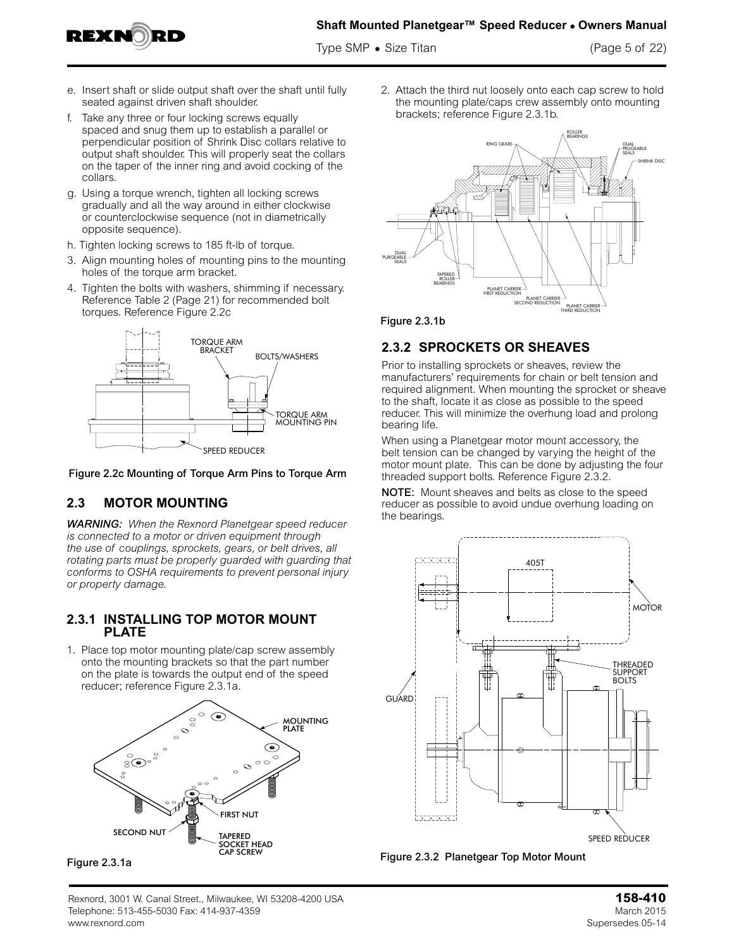

Type SMP • Size Titan (Page 5 of 22)

- e. Insert shaft or slide output shaft over the shaft until fully seated against driven shaft shoulder.
- f. Take any three or four locking screws equally spaced and snug them up to establish a parallel or perpendicular position of Shrink Disc collars relative to output shaft shoulder. This will properly seat the collars on the taper of the inner ring and avoid cocking of the collars.
- g. Using a torque wrench, tighten all locking screws gradually and all the way around in either clockwise or counterclockwise sequence (not in diametrically opposite sequence).
- h. Tighten locking screws to 185 ft-lb of torque.
- 3. Align mounting holes of mounting pins to the mounting holes of the torque arm bracket.
- 4. Tighten the bolts with washers, shimming if necessary. Reference Table 2 (Page 21) for recommended bolt torques. Reference Figure 2.2c



Figure 2.2c Mounting of Torque Arm Pins to Torque Arm

## **2.3 MOTOR MOUNTING**

*WARNING: When the Rexnord Planetgear speed reducer is connected to a motor or driven equipment through the use of couplings, sprockets, gears, or belt drives, all rotating parts must be properly guarded with guarding that conforms to OSHA requirements to prevent personal injury or property damage.*

#### **2.3.1 INSTALLING TOP MOTOR MOUNT PLATE**

1. Place top motor mounting plate/cap screw assembly onto the mounting brackets so that the part number on the plate is towards the output end of the speed reducer; reference Figure 2.3.1a.



Figure 2.3.1a

2. Attach the third nut loosely onto each cap screw to hold the mounting plate/caps crew assembly onto mounting brackets; reference Figure 2.3.1b.



Figure 2.3.1b

## **2.3.2 SPROCKETS OR SHEAVES**

Prior to installing sprockets or sheaves, review the manufacturers' requirements for chain or belt tension and required alignment. When mounting the sprocket or sheave to the shaft, locate it as close as possible to the speed reducer. This will minimize the overhung load and prolong bearing life.

When using a Planetgear motor mount accessory, the belt tension can be changed by varying the height of the motor mount plate. This can be done by adjusting the four threaded support bolts. Reference Figure 2.3.2.

NOTE: Mount sheaves and belts as close to the speed reducer as possible to avoid undue overhung loading on the bearings.



Figure 2.3.2 Planetgear Top Motor Mount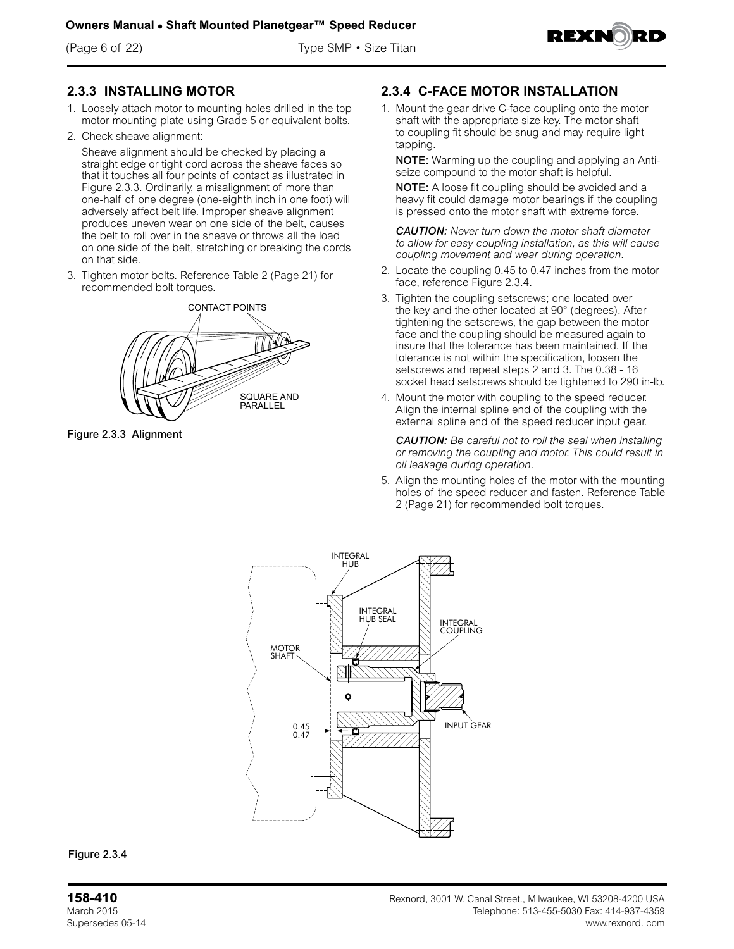

#### **2.3.3 INSTALLING MOTOR**

- 1. Loosely attach motor to mounting holes drilled in the top motor mounting plate using Grade 5 or equivalent bolts.
- 2. Check sheave alignment:

Sheave alignment should be checked by placing a straight edge or tight cord across the sheave faces so that it touches all four points of contact as illustrated in Figure 2.3.3. Ordinarily, a misalignment of more than one-half of one degree (one-eighth inch in one foot) will adversely affect belt life. Improper sheave alignment produces uneven wear on one side of the belt, causes the belt to roll over in the sheave or throws all the load on one side of the belt, stretching or breaking the cords on that side.

3. Tighten motor bolts. Reference Table 2 (Page 21) for recommended bolt torques.



Figure 2.3.3 Alignment

#### **2.3.4 C-FACE MOTOR INSTALLATION**

1. Mount the gear drive C-face coupling onto the motor shaft with the appropriate size key. The motor shaft to coupling fit should be snug and may require light tapping.

NOTE: Warming up the coupling and applying an Antiseize compound to the motor shaft is helpful.

NOTE: A loose fit coupling should be avoided and a heavy fit could damage motor bearings if the coupling is pressed onto the motor shaft with extreme force.

*CAUTION: Never turn down the motor shaft diameter to allow for easy coupling installation, as this will cause coupling movement and wear during operation.*

- 2. Locate the coupling 0.45 to 0.47 inches from the motor face, reference Figure 2.3.4.
- 3. Tighten the coupling setscrews; one located over the key and the other located at 90° (degrees). After tightening the setscrews, the gap between the motor face and the coupling should be measured again to insure that the tolerance has been maintained. If the tolerance is not within the specification, loosen the setscrews and repeat steps 2 and 3. The 0.38 - 16 socket head setscrews should be tightened to 290 in-lb.
- 4. Mount the motor with coupling to the speed reducer. Align the internal spline end of the coupling with the external spline end of the speed reducer input gear.

*CAUTION: Be careful not to roll the seal when installing or removing the coupling and motor. This could result in oil leakage during operation.*

5. Align the mounting holes of the motor with the mounting holes of the speed reducer and fasten. Reference Table 2 (Page 21) for recommended bolt torques.



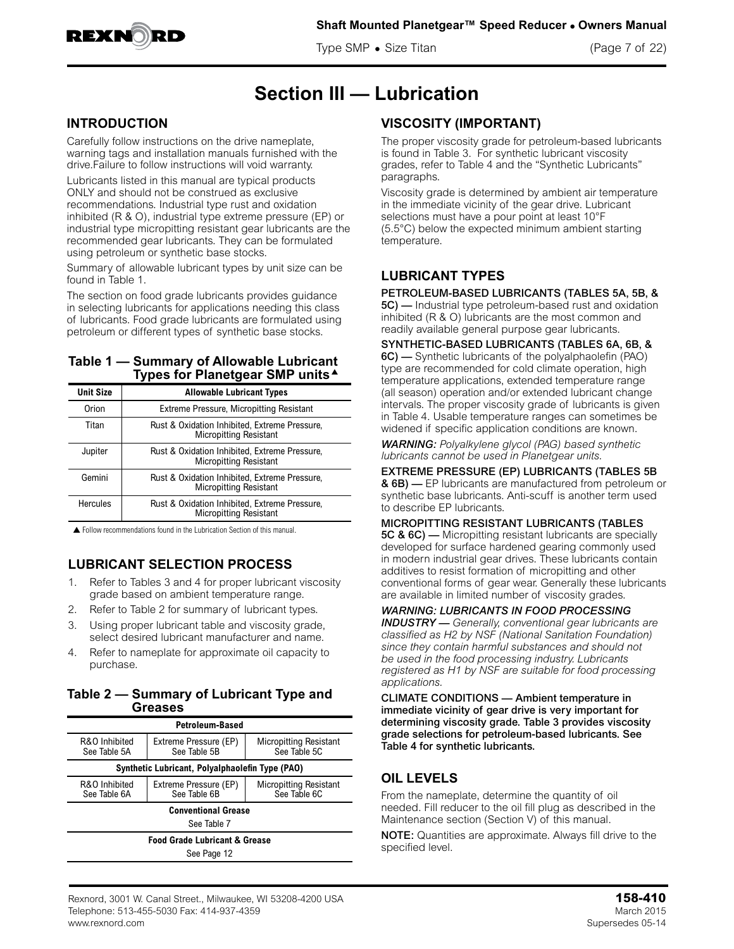

Type SMP • Size Titan (Page 7 of 22)

## **Section III — Lubrication**

#### **INTRODUCTION**

Carefully follow instructions on the drive nameplate, warning tags and installation manuals furnished with the drive.Failure to follow instructions will void warranty.

Lubricants listed in this manual are typical products ONLY and should not be construed as exclusive recommendations. Industrial type rust and oxidation inhibited (R & O), industrial type extreme pressure (EP) or industrial type micropitting resistant gear lubricants are the recommended gear lubricants. They can be formulated using petroleum or synthetic base stocks.

Summary of allowable lubricant types by unit size can be found in Table 1.

The section on food grade lubricants provides guidance in selecting lubricants for applications needing this class of lubricants. Food grade lubricants are formulated using petroleum or different types of synthetic base stocks.

#### **Table 1 — Summary of Allowable Lubricant**  Types for Planetgear SMP units<sup>4</sup>

| <b>Unit Size</b> | <b>Allowable Lubricant Types</b>                                               |
|------------------|--------------------------------------------------------------------------------|
| Orion            | <b>Extreme Pressure, Micropitting Resistant</b>                                |
| Titan            | Rust & Oxidation Inhibited, Extreme Pressure,<br><b>Micropitting Resistant</b> |
| Jupiter          | Rust & Oxidation Inhibited, Extreme Pressure,<br><b>Micropitting Resistant</b> |
| Gemini           | Rust & Oxidation Inhibited, Extreme Pressure,<br><b>Micropitting Resistant</b> |
| <b>Hercules</b>  | Rust & Oxidation Inhibited, Extreme Pressure,<br><b>Micropitting Resistant</b> |

▲ Follow recommendations found in the Lubrication Section of this manual.

## **LUBRICANT SELECTION PROCESS**

- 1. Refer to Tables 3 and 4 for proper lubricant viscosity grade based on ambient temperature range.
- 2. Refer to Table 2 for summary of lubricant types.
- 3. Using proper lubricant table and viscosity grade, select desired lubricant manufacturer and name.
- 4. Refer to nameplate for approximate oil capacity to purchase.

#### **Table 2 — Summary of Lubricant Type and Greases**

| Petroleum-Based                                                                                                         |                                               |  |  |  |  |
|-------------------------------------------------------------------------------------------------------------------------|-----------------------------------------------|--|--|--|--|
| R&O Inhibited<br>Extreme Pressure (EP)<br><b>Micropitting Resistant</b><br>See Table 5C<br>See Table 5B<br>See Table 5A |                                               |  |  |  |  |
| Synthetic Lubricant, Polyalphaolefin Type (PAO)                                                                         |                                               |  |  |  |  |
| R&O Inhibited<br>See Table 6A                                                                                           | <b>Micropitting Resistant</b><br>See Table 6C |  |  |  |  |
| <b>Conventional Grease</b>                                                                                              |                                               |  |  |  |  |
| See Table 7                                                                                                             |                                               |  |  |  |  |
| <b>Food Grade Lubricant &amp; Grease</b>                                                                                |                                               |  |  |  |  |
| See Page 12                                                                                                             |                                               |  |  |  |  |

## **VISCOSITY (IMPORTANT)**

The proper viscosity grade for petroleum-based lubricants is found in Table 3. For synthetic lubricant viscosity grades, refer to Table 4 and the "Synthetic Lubricants" paragraphs.

Viscosity grade is determined by ambient air temperature in the immediate vicinity of the gear drive. Lubricant selections must have a pour point at least 10°F (5.5°C) below the expected minimum ambient starting temperature.

## **LUBRICANT TYPES**

PETROLEUM-BASED LUBRICANTS (TABLES 5A, 5B, &

5C) — Industrial type petroleum-based rust and oxidation inhibited (R & O) lubricants are the most common and readily available general purpose gear lubricants.

SYNTHETIC-BASED LUBRICANTS (TABLES 6A, 6B, & 6C) — Synthetic lubricants of the polyalphaolefin (PAO) type are recommended for cold climate operation, high temperature applications, extended temperature range (all season) operation and/or extended lubricant change intervals. The proper viscosity grade of lubricants is given in Table 4. Usable temperature ranges can sometimes be widened if specific application conditions are known.

*WARNING: Polyalkylene glycol (PAG) based synthetic lubricants cannot be used in Planetgear units.*

EXTREME PRESSURE (EP) LUBRICANTS (TABLES 5B & 6B) — EP lubricants are manufactured from petroleum or synthetic base lubricants. Anti-scuff is another term used to describe EP lubricants.

MICROPITTING RESISTANT LUBRICANTS (TABLES 5C & 6C) — Micropitting resistant lubricants are specially developed for surface hardened gearing commonly used in modern industrial gear drives. These lubricants contain additives to resist formation of micropitting and other conventional forms of gear wear. Generally these lubricants are available in limited number of viscosity grades.

*WARNING: LUBRICANTS IN FOOD PROCESSING INDUSTRY — Generally, conventional gear lubricants are classified as H2 by NSF (National Sanitation Foundation) since they contain harmful substances and should not be used in the food processing industry. Lubricants registered as H1 by NSF are suitable for food processing applications.*

CLIMATE CONDITIONS — Ambient temperature in immediate vicinity of gear drive is very important for determining viscosity grade. Table 3 provides viscosity grade selections for petroleum-based lubricants. See Table 4 for synthetic lubricants.

## **OIL LEVELS**

From the nameplate, determine the quantity of oil needed. Fill reducer to the oil fill plug as described in the Maintenance section (Section V) of this manual.

NOTE: Quantities are approximate. Always fill drive to the specified level.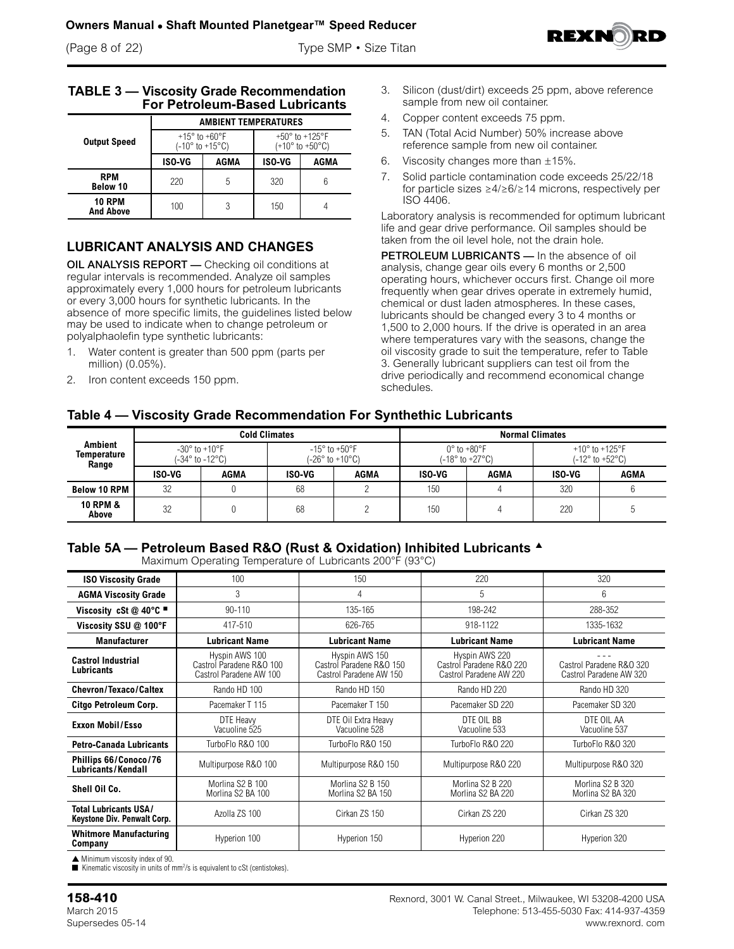

#### **TABLE 3 — Viscosity Grade Recommendation For Petroleum-Based Lubricants**

|                                   | <b>AMBIENT TEMPERATURES</b> |                                                                         |                                                                         |      |
|-----------------------------------|-----------------------------|-------------------------------------------------------------------------|-------------------------------------------------------------------------|------|
| <b>Output Speed</b>               |                             | $+15^{\circ}$ to $+60^{\circ}$ F<br>$(-10^{\circ}$ to +15 $^{\circ}$ C) | $+50^{\circ}$ to $+125^{\circ}$ F<br>$(+10^{\circ}$ to $+50^{\circ}$ C) |      |
|                                   | <b>ISO-VG</b>               | AGMA                                                                    | ISO-VG                                                                  | AGMA |
| <b>RPM</b><br><b>Below 10</b>     | 220                         | 5                                                                       | 320                                                                     | ჩ    |
| <b>10 RPM</b><br><b>And Above</b> | 100                         | 3                                                                       | 150                                                                     |      |

### **LUBRICANT ANALYSIS AND CHANGES**

OIL ANALYSIS REPORT — Checking oil conditions at regular intervals is recommended. Analyze oil samples approximately every 1,000 hours for petroleum lubricants or every 3,000 hours for synthetic lubricants. In the absence of more specific limits, the guidelines listed below may be used to indicate when to change petroleum or polyalphaolefin type synthetic lubricants:

- 1. Water content is greater than 500 ppm (parts per million) (0.05%).
- 2. Iron content exceeds 150 ppm.
- 3. Silicon (dust/dirt) exceeds 25 ppm, above reference sample from new oil container.
- 4. Copper content exceeds 75 ppm.
- 5. TAN (Total Acid Number) 50% increase above reference sample from new oil container.
- 6. Viscosity changes more than  $\pm 15\%$ .
- 7. Solid particle contamination code exceeds 25/22/18 for particle sizes ≥4/≥6/≥14 microns, respectively per ISO 4406.

Laboratory analysis is recommended for optimum lubricant life and gear drive performance. Oil samples should be taken from the oil level hole, not the drain hole.

PETROLEUM LUBRICANTS - In the absence of oil analysis, change gear oils every 6 months or 2,500 operating hours, whichever occurs first. Change oil more frequently when gear drives operate in extremely humid, chemical or dust laden atmospheres. In these cases, lubricants should be changed every 3 to 4 months or 1,500 to 2,000 hours. If the drive is operated in an area where temperatures vary with the seasons, change the oil viscosity grade to suit the temperature, refer to Table 3. Generally lubricant suppliers can test oil from the drive periodically and recommend economical change schedules.

### **Table 4 — Viscosity Grade Recommendation For Synthethic Lubricants**

|                                               | <b>Cold Climates</b>                             |      |                                                      |      | <b>Normal Climates</b>                                               |      |                                                                          |      |
|-----------------------------------------------|--------------------------------------------------|------|------------------------------------------------------|------|----------------------------------------------------------------------|------|--------------------------------------------------------------------------|------|
| <b>Ambient</b><br><b>Temperature</b><br>Range | $-30^\circ$ to $+10^\circ$ F<br>(-34° to -12°C). |      | $-15^{\circ}$ to $+50^{\circ}$ F<br>(-26° to +10°C). |      | $0^{\circ}$ to $+80^{\circ}$ F<br>$(-18^{\circ}$ to $+27^{\circ}$ C) |      | $+10^{\circ}$ to $+125^{\circ}$ F<br>$(-12^{\circ}$ to +52 $^{\circ}$ C) |      |
|                                               | ISO-VG                                           | AGMA | ISO-VG                                               | AGMA | ISO-VG                                                               | AGMA | ISO-VG                                                                   | AGMA |
| <b>Below 10 RPM</b>                           | 32                                               |      | 68                                                   |      | 150                                                                  |      | 320                                                                      |      |
| <b>10 RPM &amp;</b><br>Above                  | 32                                               |      | 68                                                   |      | 150                                                                  |      | 220                                                                      |      |

#### **Table 5A — Petroleum Based R&O (Rust & Oxidation) Inhibited Lubricants** <sup>s</sup> Maximum Operating Temperature of Lubricants 200°F (93°C)

|                                                             | $\ldots$                                                              |                                                                       |                                                                       |                                                     |
|-------------------------------------------------------------|-----------------------------------------------------------------------|-----------------------------------------------------------------------|-----------------------------------------------------------------------|-----------------------------------------------------|
| <b>ISO Viscosity Grade</b>                                  | 100                                                                   | 150                                                                   | 220                                                                   | 320                                                 |
| <b>AGMA Viscosity Grade</b>                                 | 3                                                                     | 4                                                                     | 5                                                                     | 6                                                   |
| Viscosity cSt @ 40°C $\blacksquare$                         | 90-110                                                                | 135-165                                                               | 198-242                                                               | 288-352                                             |
| Viscosity SSU @ 100°F                                       | 417-510                                                               | 626-765                                                               | 918-1122                                                              | 1335-1632                                           |
| <b>Manufacturer</b>                                         | Lubricant Name                                                        | <b>Lubricant Name</b>                                                 | <b>Lubricant Name</b>                                                 | <b>Lubricant Name</b>                               |
| <b>Castrol Industrial</b><br>Lubricants                     | Hyspin AWS 100<br>Castrol Paradene R&O 100<br>Castrol Paradene AW 100 | Hyspin AWS 150<br>Castrol Paradene R&O 150<br>Castrol Paradene AW 150 | Hyspin AWS 220<br>Castrol Paradene R&O 220<br>Castrol Paradene AW 220 | Castrol Paradene R&O 320<br>Castrol Paradene AW 320 |
| Chevron/Texaco/Caltex                                       | Rando HD 100                                                          | Rando HD 150                                                          | Rando HD 220                                                          | Rando HD 320                                        |
| Citgo Petroleum Corp.                                       | Pacemaker T 115                                                       | Pacemaker T 150                                                       | Pacemaker SD 220                                                      | Pacemaker SD 320                                    |
| <b>Exxon Mobil/Esso</b>                                     | DTE Heavy<br>Vacuoline 525                                            | DTE Oil Extra Heavy<br>Vacuoline 528                                  | DTE OIL BB<br>Vacuoline 533                                           | DTE OIL AA<br>Vacuoline 537                         |
| <b>Petro-Canada Lubricants</b>                              | TurboFlo R&O 100                                                      | TurboFlo R&O 150                                                      | TurboFlo R&O 220                                                      | TurboFlo R&O 320                                    |
| Phillips 66/Conoco/76<br><b>Lubricants/Kendall</b>          | Multipurpose R&O 100                                                  | Multipurpose R&O 150                                                  | Multipurpose R&O 220                                                  | Multipurpose R&O 320                                |
| Shell Oil Co.                                               | Morlina S2 B 100<br>Morlina S2 BA 100                                 | Morlina S2 B 150<br>Morlina S2 BA 150                                 | Morlina S2 B 220<br>Morlina S2 BA 220                                 | Morlina S2 B 320<br>Morlina S2 BA 320               |
| <b>Total Lubricants USA/</b><br>Keystone Div. Penwalt Corp. | Azolla ZS 100                                                         | Cirkan ZS 150                                                         | Cirkan ZS 220                                                         | Cirkan ZS 320                                       |
| <b>Whitmore Manufacturing</b><br>Company                    | Hyperion 100                                                          | Hyperion 150                                                          | Hyperion 220                                                          | Hyperion 320                                        |

 $\blacktriangle$  Minimum viscosity index of 90.

 $\blacksquare$  Kinematic viscosity in units of mm<sup>2</sup>/s is equivalent to cSt (centistokes).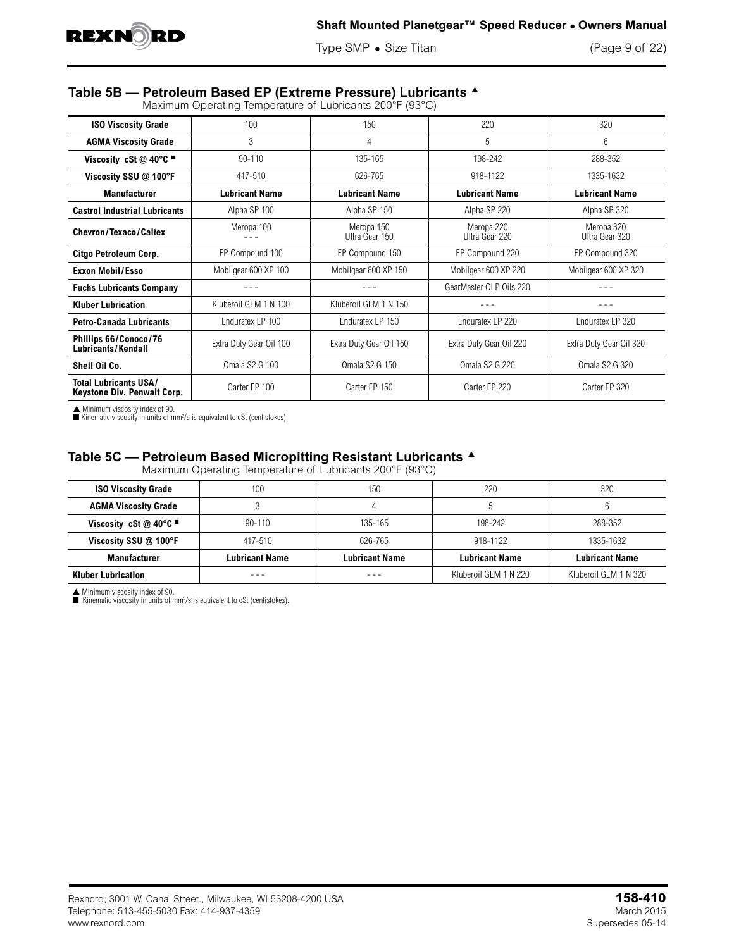

Type SMP • Size Titan (Page 9 of 22)

### Table 5B - Petroleum Based EP (Extreme Pressure) Lubricants <sup>A</sup>

Maximum Operating Temperature of Lubricants 200°F (93°C)

| <b>ISO Viscosity Grade</b>                                  | 100                     | 150                          | 220                          | 320                          |
|-------------------------------------------------------------|-------------------------|------------------------------|------------------------------|------------------------------|
| <b>AGMA Viscosity Grade</b>                                 | 3                       | 4                            | 5                            | 6                            |
| Viscosity cSt @ 40°C $\blacksquare$                         | $90 - 110$              | 135-165                      | 198-242                      | 288-352                      |
| Viscosity SSU @ 100°F                                       | 417-510                 | 626-765                      | 918-1122                     | 1335-1632                    |
| <b>Manufacturer</b>                                         | <b>Lubricant Name</b>   | <b>Lubricant Name</b>        | <b>Lubricant Name</b>        | <b>Lubricant Name</b>        |
| <b>Castrol Industrial Lubricants</b>                        | Alpha SP 100            | Alpha SP 150                 | Alpha SP 220                 | Alpha SP 320                 |
| Chevron/Texaco/Caltex                                       | Meropa 100              | Meropa 150<br>Ultra Gear 150 | Meropa 220<br>Ultra Gear 220 | Meropa 320<br>Ultra Gear 320 |
| Citgo Petroleum Corp.                                       | EP Compound 100         | EP Compound 150              | EP Compound 220              | EP Compound 320              |
| <b>Exxon Mobil/Esso</b>                                     | Mobilgear 600 XP 100    | Mobilgear 600 XP 150         | Mobilgear 600 XP 220         | Mobilgear 600 XP 320         |
| <b>Fuchs Lubricants Company</b>                             |                         |                              | GearMaster CLP Oils 220      |                              |
| <b>Kluber Lubrication</b>                                   | Kluberoil GEM 1 N 100   | Kluberoil GEM 1 N 150        | - - -                        | - - -                        |
| <b>Petro-Canada Lubricants</b>                              | Enduratex EP 100        | Enduratex EP 150             | Enduratex EP 220             | Enduratex EP 320             |
| Phillips 66/Conoco/76<br>Lubricants/Kendall                 | Extra Duty Gear Oil 100 | Extra Duty Gear Oil 150      | Extra Duty Gear Oil 220      | Extra Duty Gear Oil 320      |
| Shell Oil Co.                                               | Omala S2 G 100          | Omala S2 G 150               | <b>Omala S2 G 220</b>        | Omala S2 G 320               |
| <b>Total Lubricants USA/</b><br>Keystone Div. Penwalt Corp. | Carter EP 100           | Carter EP 150                | Carter EP 220                | Carter EP 320                |

▲ Minimum viscosity index of 90.<br>■ Kinematic viscosity in units of mm<sup>2</sup>/s is equivalent to cSt (centistokes).

#### Table 5C - Petroleum Based Micropitting Resistant Lubricants  $\triangle$

Maximum Operating Temperature of Lubricants 200°F (93°C)

| <b>ISO Viscosity Grade</b>            | 100                   | 150            | 220                   | 320                   |
|---------------------------------------|-----------------------|----------------|-----------------------|-----------------------|
| <b>AGMA Viscosity Grade</b>           |                       |                |                       |                       |
| Viscosity cSt $@$ 40°C $\blacksquare$ | $90 - 110$            | 135-165        | 198-242               | 288-352               |
| Viscosity SSU @ 100°F                 | 417-510               | 626-765        | 918-1122              | 1335-1632             |
| <b>Manufacturer</b>                   | <b>Lubricant Name</b> | Lubricant Name | <b>Lubricant Name</b> | <b>Lubricant Name</b> |
| <b>Kluber Lubrication</b>             |                       | - - -          | Kluberoil GEM 1 N 220 | Kluberoil GEM 1 N 320 |

▲ Minimum viscosity index of 90.<br>■ Kinematic viscosity in units of mm<sup>2</sup>/s is equivalent to cSt (centistokes).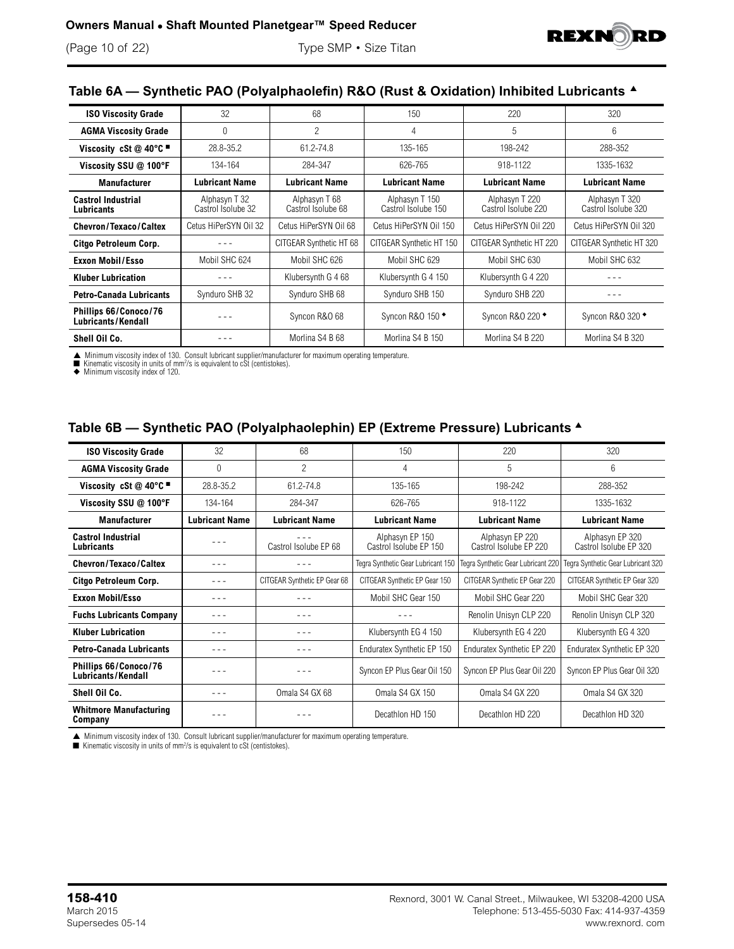

## **Table 6A — Synthetic PAO (Polyalphaolefin) R&O (Rust & Oxidation) Inhibited Lubricants** <sup>s</sup>

| <b>ISO Viscosity Grade</b>                         | 32                                  | 68                                  | 150                                   | 220                                   | 320                                   |
|----------------------------------------------------|-------------------------------------|-------------------------------------|---------------------------------------|---------------------------------------|---------------------------------------|
| <b>AGMA Viscosity Grade</b>                        | $\Omega$                            | 2                                   | 4                                     | 5                                     | 6                                     |
| Viscosity cSt @ 40 $^{\circ}$ C =                  | 28.8-35.2                           | 61.2-74.8                           | 135-165                               | 198-242                               | 288-352                               |
| Viscosity SSU @ 100°F                              | 134-164                             | 284-347                             | 626-765                               | 918-1122                              | 1335-1632                             |
| <b>Manufacturer</b>                                | <b>Lubricant Name</b>               | <b>Lubricant Name</b>               | <b>Lubricant Name</b>                 | <b>Lubricant Name</b>                 | <b>Lubricant Name</b>                 |
| <b>Castrol Industrial</b><br>Lubricants            | Alphasyn T 32<br>Castrol Isolube 32 | Alphasyn T 68<br>Castrol Isolube 68 | Alphasyn T 150<br>Castrol Isolube 150 | Alphasyn T 220<br>Castrol Isolube 220 | Alphasyn T 320<br>Castrol Isolube 320 |
| Chevron/Texaco/Caltex                              | Cetus HiPerSYN Oil 32               | Cetus HiPerSYN Oil 68               | Cetus HiPerSYN Oil 150                | Cetus HiPerSYN Oil 220                | Cetus HiPerSYN Oil 320                |
| Citgo Petroleum Corp.                              |                                     | CITGEAR Synthetic HT 68             | CITGEAR Synthetic HT 150              | CITGEAR Synthetic HT 220              | CITGEAR Synthetic HT 320              |
| <b>Exxon Mobil/Esso</b>                            | Mobil SHC 624                       | Mobil SHC 626                       | Mobil SHC 629                         | Mobil SHC 630                         | Mobil SHC 632                         |
| <b>Kluber Lubrication</b>                          |                                     | Klubersynth G 4 68                  | Klubersynth G 4 150                   | Klubersynth G 4 220                   |                                       |
| <b>Petro-Canada Lubricants</b>                     | Synduro SHB 32                      | Synduro SHB 68                      | Synduro SHB 150                       | Synduro SHB 220                       |                                       |
| Phillips 66/Conoco/76<br><b>Lubricants/Kendall</b> |                                     | Syncon R&O 68                       | Syncon R&O 150                        | Syncon R&O 220 <sup>+</sup>           | Syncon R&O 320 <sup>+</sup>           |
| Shell Oil Co.                                      |                                     | Morlina S4 B 68                     | Morlina S4 B 150                      | Morlina S4 B 220                      | Morlina S4 B 320                      |

▲ Minimum viscosity index of 130. Consult lubricant supplier/manufacturer for maximum operating temperature.<br>■ Kinematic viscosity in units of mm<sup>2</sup>/s is equivalent to cSt (centistokes).<br>◆ Minimum viscosity index of 120.

#### **Table 6B — Synthetic PAO (Polyalphaolephin) EP (Extreme Pressure) Lubricants** <sup>s</sup>

| <b>ISO Viscosity Grade</b>                         | 32                    | 68                           | 150                                       | 220                                       | 320                                       |
|----------------------------------------------------|-----------------------|------------------------------|-------------------------------------------|-------------------------------------------|-------------------------------------------|
| <b>AGMA Viscosity Grade</b>                        | $\Omega$              | $\overline{c}$               | 4                                         | 5                                         | 6                                         |
| Viscosity cSt @ 40°C ■                             | 28.8-35.2             | 61.2-74.8                    | 135-165                                   | 198-242                                   | 288-352                                   |
| Viscosity SSU @ 100°F                              | 134-164               | 284-347                      | 626-765                                   | 918-1122                                  | 1335-1632                                 |
| <b>Manufacturer</b>                                | <b>Lubricant Name</b> | <b>Lubricant Name</b>        | <b>Lubricant Name</b>                     | <b>Lubricant Name</b>                     | <b>Lubricant Name</b>                     |
| <b>Castrol Industrial</b><br>Lubricants            |                       | Castrol Isolube EP 68        | Alphasyn EP 150<br>Castrol Isolube EP 150 | Alphasyn EP 220<br>Castrol Isolube EP 220 | Alphasyn EP 320<br>Castrol Isolube EP 320 |
| Chevron/Texaco/Caltex                              |                       |                              | Tegra Synthetic Gear Lubricant 150        | Tegra Synthetic Gear Lubricant 220        | Tegra Synthetic Gear Lubricant 320        |
| Citgo Petroleum Corp.                              |                       | CITGEAR Synthetic EP Gear 68 | CITGEAR Synthetic EP Gear 150             | CITGEAR Synthetic EP Gear 220             | CITGEAR Synthetic EP Gear 320             |
| <b>Exxon Mobil/Esso</b>                            |                       |                              | Mobil SHC Gear 150                        | Mobil SHC Gear 220                        | Mobil SHC Gear 320                        |
| <b>Fuchs Lubricants Company</b>                    |                       |                              |                                           | Renolin Unisyn CLP 220                    | Renolin Unisyn CLP 320                    |
| <b>Kluber Lubrication</b>                          |                       |                              | Klubersynth EG 4 150                      | Klubersynth EG 4 220                      | Klubersynth EG 4 320                      |
| <b>Petro-Canada Lubricants</b>                     |                       |                              | Enduratex Synthetic EP 150                | Enduratex Synthetic EP 220                | Enduratex Synthetic EP 320                |
| Phillips 66/Conoco/76<br><b>Lubricants/Kendall</b> |                       |                              | Syncon EP Plus Gear Oil 150               | Syncon EP Plus Gear Oil 220               | Syncon EP Plus Gear Oil 320               |
| Shell Oil Co.                                      |                       | Omala S4 GX 68               | Omala S4 GX 150                           | Omala S4 GX 220                           | Omala S4 GX 320                           |
| <b>Whitmore Manufacturing</b><br>Company           |                       |                              | Decathlon HD 150                          | Decathlon HD 220                          | Decathlon HD 320                          |

▲ Minimum viscosity index of 130. Consult lubricant supplier/manufacturer for maximum operating temperature.

 $\blacksquare$  Kinematic viscosity in units of mm<sup>2</sup>/s is equivalent to cSt (centistokes).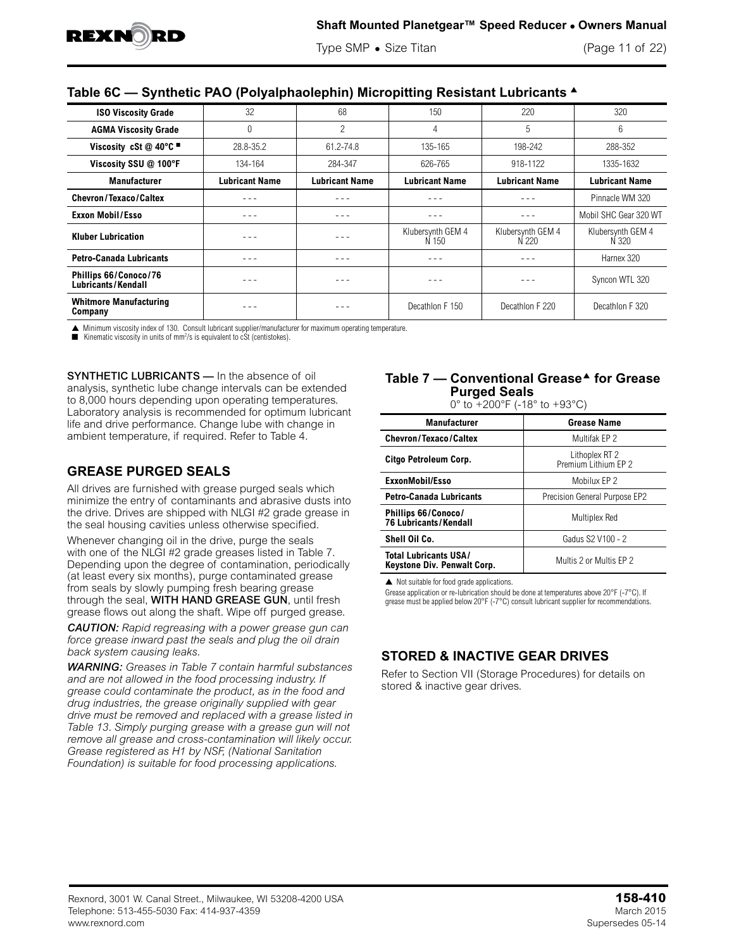

Type SMP • Size Titan (Page 11 of 22)

#### **Table 6C — Synthetic PAO (Polyalphaolephin) Micropitting Resistant Lubricants** <sup>s</sup>

|                                             | 32                    | 68                    | 150                        |                            |                            |
|---------------------------------------------|-----------------------|-----------------------|----------------------------|----------------------------|----------------------------|
| <b>ISO Viscosity Grade</b>                  |                       |                       |                            | 220                        | 320                        |
| <b>AGMA Viscosity Grade</b>                 | 0                     | 2                     | 4                          | 5                          | 6                          |
| Viscosity cSt $@$ 40°C $\blacksquare$       | 28.8-35.2             | 61.2-74.8             | 135-165                    | 198-242                    | 288-352                    |
| Viscosity SSU @ 100°F                       | 134-164               | 284-347               | 626-765                    | 918-1122                   | 1335-1632                  |
| <b>Manufacturer</b>                         | <b>Lubricant Name</b> | <b>Lubricant Name</b> | <b>Lubricant Name</b>      | <b>Lubricant Name</b>      | <b>Lubricant Name</b>      |
| <b>Chevron/Texaco/Caltex</b>                |                       | - - -                 |                            |                            | Pinnacle WM 320            |
| <b>Exxon Mobil/Esso</b>                     | - - -                 | - - -                 |                            |                            | Mobil SHC Gear 320 WT      |
| <b>Kluber Lubrication</b>                   |                       |                       | Klubersynth GEM 4<br>N 150 | Klubersynth GEM 4<br>N 220 | Klubersynth GEM 4<br>N 320 |
| <b>Petro-Canada Lubricants</b>              |                       | - - -                 |                            |                            | Harnex 320                 |
| Phillips 66/Conoco/76<br>Lubricants/Kendall |                       | - - -                 | - - -                      |                            | Syncon WTL 320             |
| <b>Whitmore Manufacturing</b><br>Company    |                       |                       | Decathlon F 150            | Decathlon F 220            | Decathlon F 320            |

▲ Minimum viscosity index of 130. Consult lubricant supplier/manufacturer for maximum operating temperature.<br>■ Kinematic viscosity in units of mm<sup>2</sup>/s is equivalent to cSt (centistokes).

SYNTHETIC LUBRICANTS — In the absence of oil analysis, synthetic lube change intervals can be extended to 8,000 hours depending upon operating temperatures. Laboratory analysis is recommended for optimum lubricant life and drive performance. Change lube with change in ambient temperature, if required. Refer to Table 4.

### **GREASE PURGED SEALS**

All drives are furnished with grease purged seals which minimize the entry of contaminants and abrasive dusts into the drive. Drives are shipped with NLGI #2 grade grease in the seal housing cavities unless otherwise specified.

Whenever changing oil in the drive, purge the seals with one of the NLGI #2 grade greases listed in Table 7. Depending upon the degree of contamination, periodically (at least every six months), purge contaminated grease from seals by slowly pumping fresh bearing grease through the seal, WITH HAND GREASE GUN, until fresh grease flows out along the shaft. Wipe off purged grease.

*CAUTION: Rapid regreasing with a power grease gun can force grease inward past the seals and plug the oil drain back system causing leaks.*

*WARNING: Greases in Table 7 contain harmful substances and are not allowed in the food processing industry. If grease could contaminate the product, as in the food and drug industries, the grease originally supplied with gear drive must be removed and replaced with a grease listed in Table 13. Simply purging grease with a grease gun will not remove all grease and cross-contamination will likely occur. Grease registered as H1 by NSF, (National Sanitation Foundation) is suitable for food processing applications.*

#### Table 7 – Conventional Grease<sup> $\triangle$ </sup> for Grease **Purged Seals**

0° to +200°F (-18° to +93°C)

| <b>Manufacturer</b>                                                | <b>Grease Name</b>                     |
|--------------------------------------------------------------------|----------------------------------------|
| Chevron/Texaco/Caltex                                              | Multifak EP 2                          |
| Citgo Petroleum Corp.                                              | Lithoplex RT 2<br>Premium Lithium EP 2 |
| ExxonMobil/Esso                                                    | Mobilux EP 2                           |
| <b>Petro-Canada Lubricants</b>                                     | Precision General Purpose EP2          |
| Phillips 66/Conoco/<br><b>76 Lubricants/Kendall</b>                | Multiplex Red                          |
| Shell Oil Co.                                                      | Gadus S2 V100 - 2                      |
| <b>Total Lubricants USA/</b><br><b>Keystone Div. Penwalt Corp.</b> | Multis 2 or Multis EP 2                |

 $\triangle$  Not suitable for food grade applications.

Grease application or re-lubrication should be done at temperatures above 20°F (-7°C). If grease must be applied below 20°F (-7°C) consult lubricant supplier for recommendations.

## **STORED & INACTIVE GEAR DRIVES**

Refer to Section VII (Storage Procedures) for details on stored & inactive gear drives.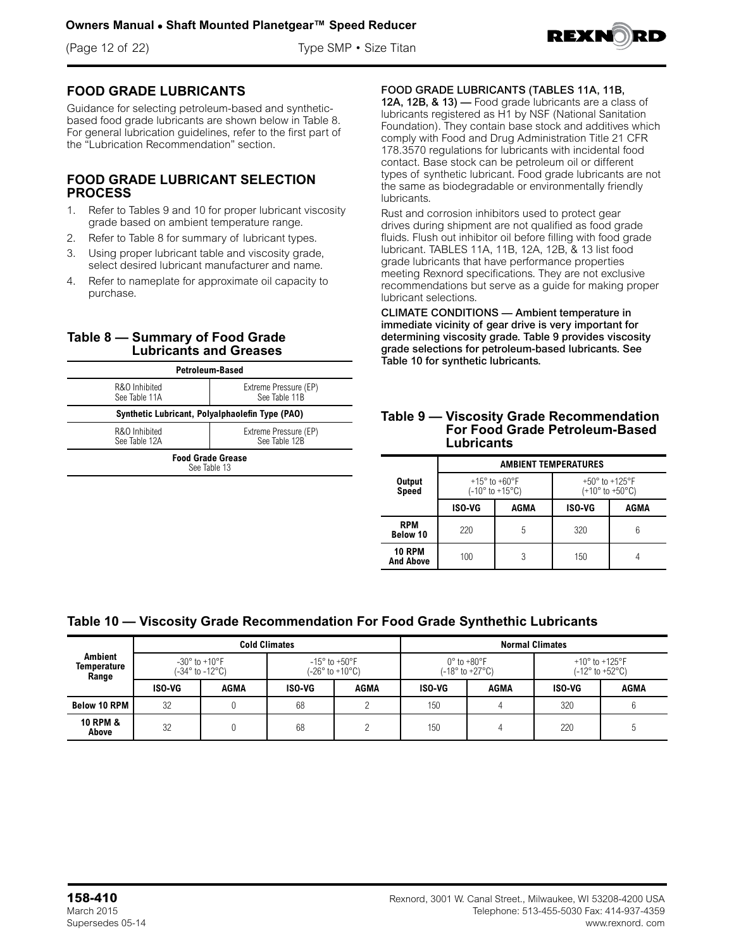(Page 12 of 22) Type SMP • Size Titan



#### **FOOD GRADE LUBRICANTS**

Guidance for selecting petroleum-based and syntheticbased food grade lubricants are shown below in Table 8. For general lubrication guidelines, refer to the first part of the "Lubrication Recommendation" section.

#### **FOOD GRADE LUBRICANT SELECTION PROCESS**

- 1. Refer to Tables 9 and 10 for proper lubricant viscosity grade based on ambient temperature range.
- 2. Refer to Table 8 for summary of lubricant types.
- 3. Using proper lubricant table and viscosity grade, select desired lubricant manufacturer and name.
- 4. Refer to nameplate for approximate oil capacity to purchase.

#### **Table 8 — Summary of Food Grade Lubricants and Greases**

| Petroleum-Based                                 |                                        |  |  |  |
|-------------------------------------------------|----------------------------------------|--|--|--|
| R&O Inhibited<br>See Table 11A                  | Extreme Pressure (EP)<br>See Table 11B |  |  |  |
| Synthetic Lubricant, Polyalphaolefin Type (PAO) |                                        |  |  |  |
| R&O Inhibited<br>See Table 12A                  | Extreme Pressure (EP)<br>See Table 12B |  |  |  |
| <b>Food Grade Grease</b><br>See Table 13        |                                        |  |  |  |

FOOD GRADE LUBRICANTS (TABLES 11A, 11B,

12A, 12B, & 13) — Food grade lubricants are a class of lubricants registered as H1 by NSF (National Sanitation Foundation). They contain base stock and additives which comply with Food and Drug Administration Title 21 CFR 178.3570 regulations for lubricants with incidental food contact. Base stock can be petroleum oil or different types of synthetic lubricant. Food grade lubricants are not the same as biodegradable or environmentally friendly lubricants.

Rust and corrosion inhibitors used to protect gear drives during shipment are not qualified as food grade fluids. Flush out inhibitor oil before filling with food grade lubricant. TABLES 11A, 11B, 12A, 12B, & 13 list food grade lubricants that have performance properties meeting Rexnord specifications. They are not exclusive recommendations but serve as a guide for making proper lubricant selections.

CLIMATE CONDITIONS — Ambient temperature in immediate vicinity of gear drive is very important for determining viscosity grade. Table 9 provides viscosity grade selections for petroleum-based lubricants. See Table 10 for synthetic lubricants.

#### **Table 9 — Viscosity Grade Recommendation For Food Grade Petroleum-Based Lubricants**

|                                   | <b>AMBIENT TEMPERATURES</b>      |                                     |                                                                           |      |  |  |  |
|-----------------------------------|----------------------------------|-------------------------------------|---------------------------------------------------------------------------|------|--|--|--|
| <b>Output</b><br><b>Speed</b>     | $+15^{\circ}$ to $+60^{\circ}$ F | $(-10^{\circ}$ to +15 $^{\circ}$ C) | +50 $^{\circ}$ to +125 $^{\circ}$ F<br>$(+10^{\circ}$ to $+50^{\circ}$ C) |      |  |  |  |
|                                   | <b>ISO-VG</b>                    | AGMA                                | <b>ISO-VG</b>                                                             | AGMA |  |  |  |
| <b>RPM</b><br><b>Below 10</b>     | 220                              | 5                                   | 320                                                                       |      |  |  |  |
| <b>10 RPM</b><br><b>And Above</b> | 100                              |                                     | 150                                                                       |      |  |  |  |

#### **Table 10 — Viscosity Grade Recommendation For Food Grade Synthethic Lubricants**

|                                               | <b>Cold Climates</b>                             |      |                                                     |      | <b>Normal Climates</b>                                                |      |                                                                          |      |
|-----------------------------------------------|--------------------------------------------------|------|-----------------------------------------------------|------|-----------------------------------------------------------------------|------|--------------------------------------------------------------------------|------|
| <b>Ambient</b><br><b>Temperature</b><br>Range | $-30^\circ$ to $+10^\circ$ F<br>(-34° to -12°C). |      | $-15^{\circ}$ to $+50^{\circ}$ F<br>(-26° to +10°C) |      | $0^{\circ}$ to +80 $^{\circ}$ F<br>$(-18^{\circ}$ to $+27^{\circ}$ C) |      | $+10^{\circ}$ to $+125^{\circ}$ F<br>$(-12^{\circ}$ to +52 $^{\circ}$ C) |      |
|                                               | ISO-VG                                           | AGMA | ISO-VG                                              | AGMA | ISO-VG                                                                | AGMA | ISO-VG                                                                   | AGMA |
| <b>Below 10 RPM</b>                           | 32                                               |      | 68                                                  |      | 150                                                                   |      | 320                                                                      |      |
| <b>10 RPM &amp;</b><br>Above                  | 32                                               |      | 68                                                  | ı    | 150                                                                   |      | 220                                                                      |      |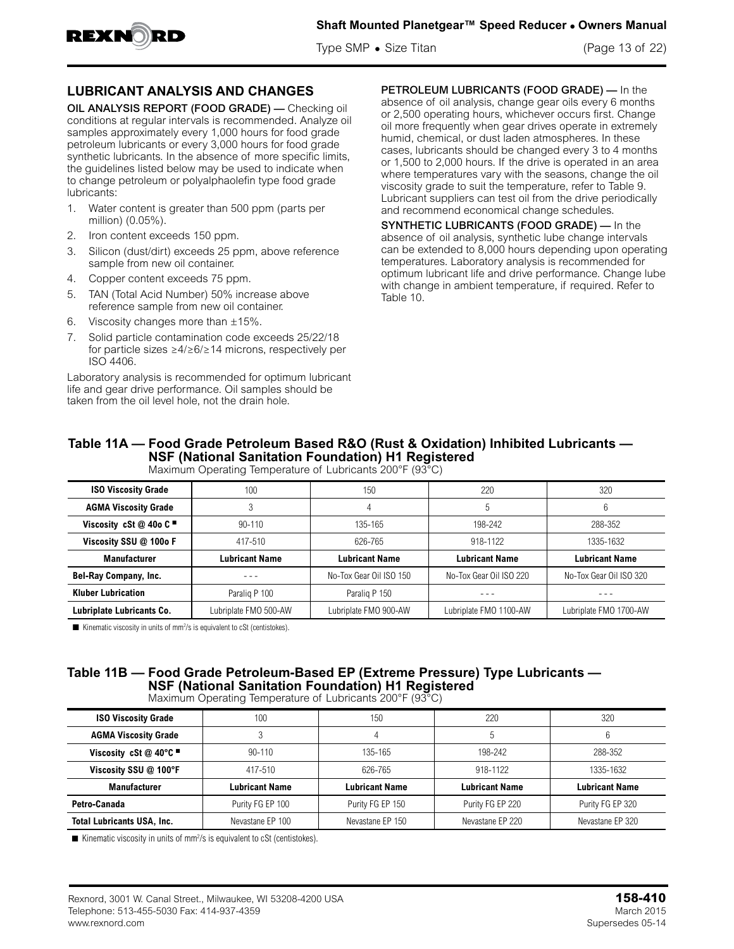

Type SMP • Size Titan (Page 13 of 22)

#### **LUBRICANT ANALYSIS AND CHANGES**

OIL ANALYSIS REPORT (FOOD GRADE) — Checking oil conditions at regular intervals is recommended. Analyze oil samples approximately every 1,000 hours for food grade petroleum lubricants or every 3,000 hours for food grade synthetic lubricants. In the absence of more specific limits, the guidelines listed below may be used to indicate when to change petroleum or polyalphaolefin type food grade lubricants:

- 1. Water content is greater than 500 ppm (parts per million) (0.05%).
- 2. Iron content exceeds 150 ppm.
- 3. Silicon (dust/dirt) exceeds 25 ppm, above reference sample from new oil container.
- 4. Copper content exceeds 75 ppm.
- 5. TAN (Total Acid Number) 50% increase above reference sample from new oil container.
- 6. Viscosity changes more than  $\pm 15\%$ .
- 7. Solid particle contamination code exceeds 25/22/18 for particle sizes ≥4/≥6/≥14 microns, respectively per ISO 4406.

Laboratory analysis is recommended for optimum lubricant life and gear drive performance. Oil samples should be taken from the oil level hole, not the drain hole.

PETROLEUM LUBRICANTS (FOOD GRADE) — In the absence of oil analysis, change gear oils every 6 months or 2,500 operating hours, whichever occurs first. Change oil more frequently when gear drives operate in extremely humid, chemical, or dust laden atmospheres. In these cases, lubricants should be changed every 3 to 4 months or 1,500 to 2,000 hours. If the drive is operated in an area where temperatures vary with the seasons, change the oil viscosity grade to suit the temperature, refer to Table 9. Lubricant suppliers can test oil from the drive periodically and recommend economical change schedules.

SYNTHETIC LUBRICANTS (FOOD GRADE) — In the absence of oil analysis, synthetic lube change intervals can be extended to 8,000 hours depending upon operating temperatures. Laboratory analysis is recommended for optimum lubricant life and drive performance. Change lube with change in ambient temperature, if required. Refer to Table 10.

#### **Table 11A — Food Grade Petroleum Based R&O (Rust & Oxidation) Inhibited Lubricants — NSF (National Sanitation Foundation) H1 Registered**

Maximum Operating Temperature of Lubricants 200°F (93°C)

| <b>ISO Viscosity Grade</b>   | 100                   | 150                     | 220                     | 320                     |
|------------------------------|-----------------------|-------------------------|-------------------------|-------------------------|
| <b>AGMA Viscosity Grade</b>  | 3                     | 4                       | 5                       | 6                       |
| Viscosity cSt $@$ 40o C      | $90 - 110$            | 135-165                 | 198-242                 | 288-352                 |
| Viscosity SSU @ 100o F       | 417-510               | 626-765                 | 918-1122                | 1335-1632               |
| <b>Manufacturer</b>          | Lubricant Name        | Lubricant Name          | <b>Lubricant Name</b>   | Lubricant Name          |
| <b>Bel-Ray Company, Inc.</b> | ---                   | No-Tox Gear Oil ISO 150 | No-Tox Gear Oil ISO 220 | No-Tox Gear Oil ISO 320 |
| <b>Kluber Lubrication</b>    | Paralig P 100         | Paralig P 150           | - - -                   |                         |
| Lubriplate Lubricants Co.    | Lubriplate FMO 500-AW | Lubriplate FMO 900-AW   | Lubriplate FMO 1100-AW  | Lubriplate FMO 1700-AW  |

 $\blacksquare$  Kinematic viscosity in units of mm<sup>2</sup>/s is equivalent to cSt (centistokes).

#### **Table 11B — Food Grade Petroleum-Based EP (Extreme Pressure) Type Lubricants — NSF (National Sanitation Foundation) H1 Registered** Maximum Operating Temperature of Lubricants 200°F (93°C)

**ISO Viscosity Grade 100** 150 150 220 220 320 **AGMA Viscosity Grade and Agent and Agent and Agent Agent Agent Agent Agent Agent Agent Agent Agent Agent Agent Agent Agent Agent Agent Agent Agent Agent Agent Agent Agent Agent Agent Agent Agent Agent Agent Agent Agent Viscosity cSt @ 40°C ■ | 90-110 135-165 | 90-110 198-242 288-352 Viscosity SSU @ 100°F** 417-510 626-765 918-1122 1335-1632 **Manufacturer Lubricant Name Lubricant Name Lubricant Name Lubricant Name Petro-Canada** Purity FG EP 100 Purity FG EP 150 Purity FG EP 220 Purity FG EP 220 **Total Lubricants USA, Inc.**  $\vert$  Nevastane EP 100  $\vert$  Nevastane EP 150 Nevastane EP 220 Nevastane EP 320

 $\blacksquare$  Kinematic viscosity in units of mm<sup>2</sup>/s is equivalent to cSt (centistokes).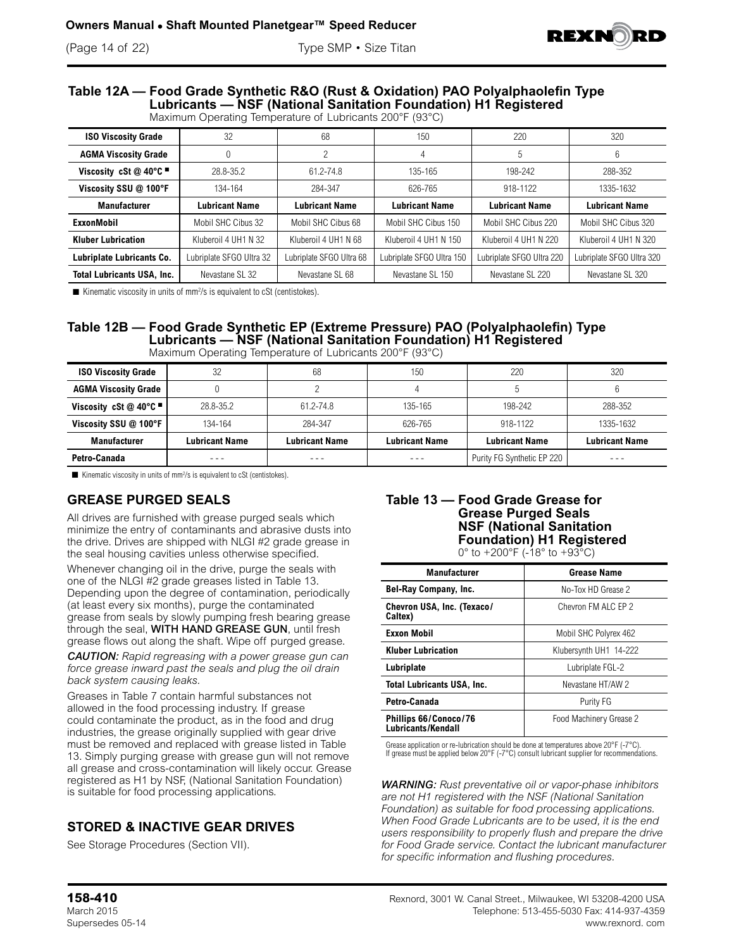



#### **Table 12A — Food Grade Synthetic R&O (Rust & Oxidation) PAO Polyalphaolefin Type Lubricants — NSF (National Sanitation Foundation) H1 Registered**

| <b>ISO Viscosity Grade</b>        | 32                       | 68                       | 150                       | 220                       | 320                       |
|-----------------------------------|--------------------------|--------------------------|---------------------------|---------------------------|---------------------------|
| <b>AGMA Viscosity Grade</b>       | 0                        |                          | 4                         | 5                         | 6                         |
| Viscosity cSt @ 40 $^{\circ}$ C = | 28.8-35.2                | 61.2-74.8                | 135-165                   | 198-242                   | 288-352                   |
| Viscosity SSU @ 100°F             | 134-164                  | 284-347                  | 626-765                   | 918-1122                  | 1335-1632                 |
| <b>Manufacturer</b>               | <b>Lubricant Name</b>    | <b>Lubricant Name</b>    | <b>Lubricant Name</b>     | <b>Lubricant Name</b>     | <b>Lubricant Name</b>     |
| <b>ExxonMobil</b>                 | Mobil SHC Cibus 32       | Mobil SHC Cibus 68       | Mobil SHC Cibus 150       | Mobil SHC Cibus 220       | Mobil SHC Cibus 320       |
| <b>Kluber Lubrication</b>         | Kluberoil 4 UH1 N 32     | Kluberoil 4 UH1 N 68     | Kluberoil 4 UH1 N 150     | Kluberoil 4 UH1 N 220     | Kluberoil 4 UH1 N 320     |
| Lubriplate Lubricants Co.         | Lubriplate SFGO Ultra 32 | Lubriplate SFGO Ultra 68 | Lubriplate SFGO Ultra 150 | Lubriplate SFGO Ultra 220 | Lubriplate SFGO Ultra 320 |
| <b>Total Lubricants USA, Inc.</b> | Nevastane SL 32          | Nevastane SL 68          | Nevastane SL 150          | Nevastane SL 220          | Nevastane SL 320          |

Maximum Operating Temperature of Lubricants 200°F (93°C)

E Kinematic viscosity in units of  $mm^2/s$  is equivalent to cSt (centistokes).

#### **Table 12B — Food Grade Synthetic EP (Extreme Pressure) PAO (Polyalphaolefin) Type Lubricants — NSF (National Sanitation Foundation) H1 Registered**

|                                       | $\sim$                |                |                       |                            |                       |
|---------------------------------------|-----------------------|----------------|-----------------------|----------------------------|-----------------------|
| <b>ISO Viscosity Grade</b>            | 32                    | 68             | 150                   | 220                        | 320                   |
| <b>AGMA Viscosity Grade</b>           |                       |                |                       |                            |                       |
| Viscosity cSt $@$ 40°C $\blacksquare$ | 28.8-35.2             | 61.2-74.8      | 135-165               | 198-242                    | 288-352               |
| Viscosity SSU @ 100°F                 | 134-164               | 284-347        | 626-765               | 918-1122                   | 1335-1632             |
| <b>Manufacturer</b>                   | <b>Lubricant Name</b> | Lubricant Name | <b>Lubricant Name</b> | <b>Lubricant Name</b>      | <b>Lubricant Name</b> |
| Petro-Canada                          | - - -                 | $  -$          | - - -                 | Purity FG Synthetic EP 220 | - - -                 |

Maximum Operating Temperature of Lubricants 200°F (93°C)

 $\blacksquare$  Kinematic viscosity in units of mm<sup>2</sup>/s is equivalent to cSt (centistokes).

#### **GREASE PURGED SEALS**

All drives are furnished with grease purged seals which minimize the entry of contaminants and abrasive dusts into the drive. Drives are shipped with NLGI #2 grade grease in the seal housing cavities unless otherwise specified.

Whenever changing oil in the drive, purge the seals with one of the NLGI #2 grade greases listed in Table 13. Depending upon the degree of contamination, periodically (at least every six months), purge the contaminated grease from seals by slowly pumping fresh bearing grease through the seal, WITH HAND GREASE GUN, until fresh grease flows out along the shaft. Wipe off purged grease.

*CAUTION: Rapid regreasing with a power grease gun can force grease inward past the seals and plug the oil drain back system causing leaks.*

Greases in Table 7 contain harmful substances not allowed in the food processing industry. If grease could contaminate the product, as in the food and drug industries, the grease originally supplied with gear drive must be removed and replaced with grease listed in Table 13. Simply purging grease with grease gun will not remove all grease and cross-contamination will likely occur. Grease registered as H1 by NSF, (National Sanitation Foundation) is suitable for food processing applications.

## **STORED & INACTIVE GEAR DRIVES**

See Storage Procedures (Section VII).

#### **Table 13 — Food Grade Grease for Grease Purged Seals NSF (National Sanitation Foundation) H1 Registered**

0° to +200°F (-18° to +93°C)

| <b>Manufacturer</b>                         | Grease Name             |  |  |
|---------------------------------------------|-------------------------|--|--|
| Bel-Ray Company, Inc.                       | No-Tox HD Grease 2      |  |  |
| Chevron USA, Inc. (Texaco/<br>Caltex)       | Chevron FM ALC EP 2     |  |  |
| <b>Exxon Mobil</b>                          | Mobil SHC Polyrex 462   |  |  |
| <b>Kluber Lubrication</b>                   | Klubersynth UH1 14-222  |  |  |
| Lubriplate                                  | Lubriplate FGL-2        |  |  |
| <b>Total Lubricants USA, Inc.</b>           | Nevastane HT/AW 2       |  |  |
| Petro-Canada                                | Purity FG               |  |  |
| Phillips 66/Conoco/76<br>Lubricants/Kendall | Food Machinery Grease 2 |  |  |

Grease application or re-lubrication should be done at temperatures above 20°F (-7°C). If grease must be applied below 20°F (-7°C) consult lubricant supplier for recommendations.

*WARNING: Rust preventative oil or vapor-phase inhibitors are not H1 registered with the NSF (National Sanitation Foundation) as suitable for food processing applications. When Food Grade Lubricants are to be used, it is the end users responsibility to properly flush and prepare the drive for Food Grade service. Contact the lubricant manufacturer for specific information and flushing procedures.*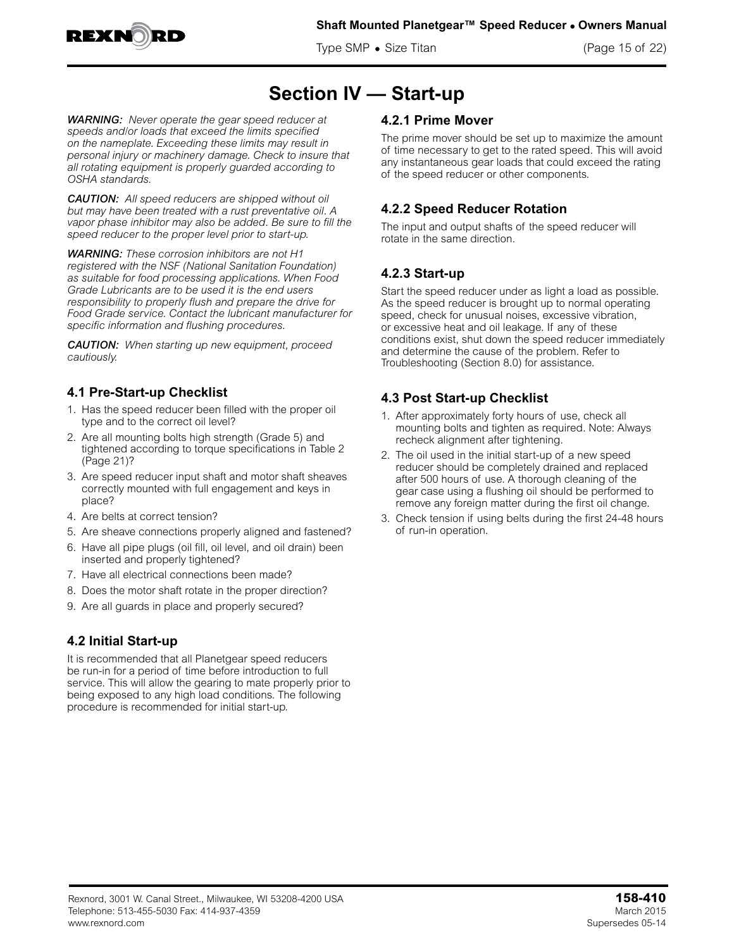

Type SMP • Size Titan (Page 15 of 22)

# **Section IV — Start-up**

*WARNING: Never operate the gear speed reducer at speeds and/or loads that exceed the limits specified on the nameplate. Exceeding these limits may result in personal injury or machinery damage. Check to insure that all rotating equipment is properly guarded according to OSHA standards.*

*CAUTION: All speed reducers are shipped without oil but may have been treated with a rust preventative oil. A vapor phase inhibitor may also be added. Be sure to fill the speed reducer to the proper level prior to start-up.*

*WARNING: These corrosion inhibitors are not H1 registered with the NSF (National Sanitation Foundation) as suitable for food processing applications. When Food Grade Lubricants are to be used it is the end users responsibility to properly flush and prepare the drive for Food Grade service. Contact the lubricant manufacturer for specific information and flushing procedures.*

*CAUTION: When starting up new equipment, proceed cautiously.*

### **4.1 Pre-Start-up Checklist**

- 1. Has the speed reducer been filled with the proper oil type and to the correct oil level?
- 2. Are all mounting bolts high strength (Grade 5) and tightened according to torque specifications in Table 2 (Page 21)?
- 3. Are speed reducer input shaft and motor shaft sheaves correctly mounted with full engagement and keys in place?
- 4. Are belts at correct tension?
- 5. Are sheave connections properly aligned and fastened?
- 6. Have all pipe plugs (oil fill, oil level, and oil drain) been inserted and properly tightened?
- 7. Have all electrical connections been made?
- 8. Does the motor shaft rotate in the proper direction?
- 9. Are all guards in place and properly secured?

#### **4.2 Initial Start-up**

It is recommended that all Planetgear speed reducers be run-in for a period of time before introduction to full service. This will allow the gearing to mate properly prior to being exposed to any high load conditions. The following procedure is recommended for initial start-up.

#### **4.2.1 Prime Mover**

The prime mover should be set up to maximize the amount of time necessary to get to the rated speed. This will avoid any instantaneous gear loads that could exceed the rating of the speed reducer or other components.

#### **4.2.2 Speed Reducer Rotation**

The input and output shafts of the speed reducer will rotate in the same direction.

## **4.2.3 Start-up**

Start the speed reducer under as light a load as possible. As the speed reducer is brought up to normal operating speed, check for unusual noises, excessive vibration, or excessive heat and oil leakage. If any of these conditions exist, shut down the speed reducer immediately and determine the cause of the problem. Refer to Troubleshooting (Section 8.0) for assistance.

### **4.3 Post Start-up Checklist**

- 1. After approximately forty hours of use, check all mounting bolts and tighten as required. Note: Always recheck alignment after tightening.
- 2. The oil used in the initial start-up of a new speed reducer should be completely drained and replaced after 500 hours of use. A thorough cleaning of the gear case using a flushing oil should be performed to remove any foreign matter during the first oil change.
- 3. Check tension if using belts during the first 24-48 hours of run-in operation.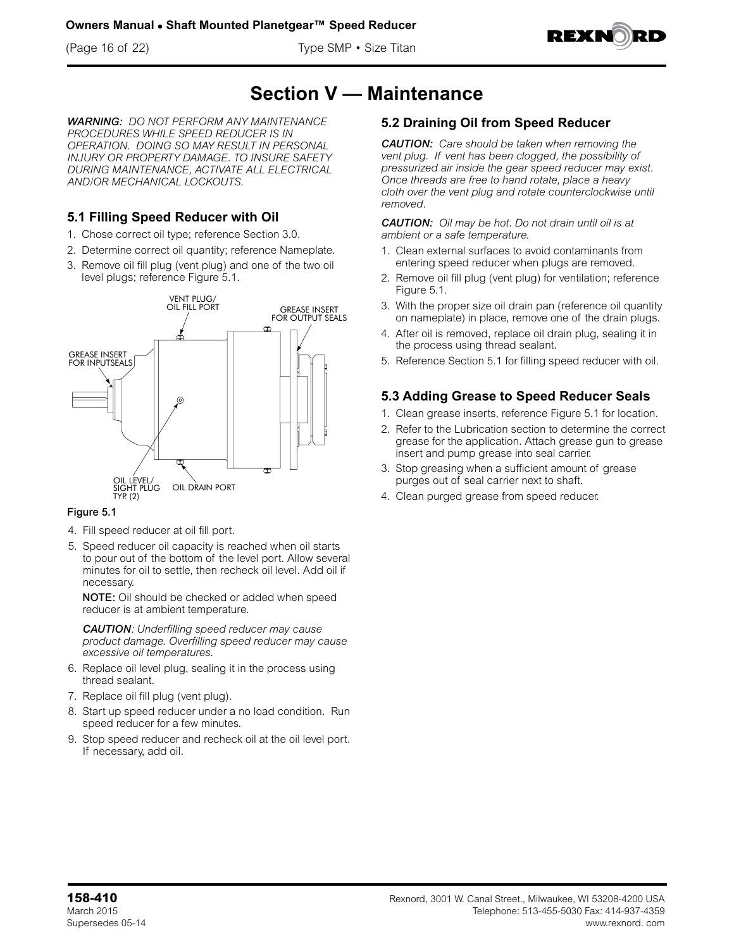(Page 16 of 22) Type SMP • Size Titan



## **Section V — Maintenance**

*WARNING: DO NOT PERFORM ANY MAINTENANCE PROCEDURES WHILE SPEED REDUCER IS IN OPERATION. DOING SO MAY RESULT IN PERSONAL INJURY OR PROPERTY DAMAGE. TO INSURE SAFETY DURING MAINTENANCE, ACTIVATE ALL ELECTRICAL AND/OR MECHANICAL LOCKOUTS.*

## **5.1 Filling Speed Reducer with Oil**

- 1. Chose correct oil type; reference Section 3.0.
- 2. Determine correct oil quantity; reference Nameplate.
- 3. Remove oil fill plug (vent plug) and one of the two oil level plugs; reference Figure 5.1.



#### Figure 5.1

- 4. Fill speed reducer at oil fill port.
- 5. Speed reducer oil capacity is reached when oil starts to pour out of the bottom of the level port. Allow several minutes for oil to settle, then recheck oil level. Add oil if necessary.

NOTE: Oil should be checked or added when speed reducer is at ambient temperature.

*CAUTION: Underfilling speed reducer may cause product damage. Overfilling speed reducer may cause excessive oil temperatures.*

- 6. Replace oil level plug, sealing it in the process using thread sealant.
- 7. Replace oil fill plug (vent plug).
- 8. Start up speed reducer under a no load condition. Run speed reducer for a few minutes.
- 9. Stop speed reducer and recheck oil at the oil level port. If necessary, add oil.

#### **5.2 Draining Oil from Speed Reducer**

*CAUTION: Care should be taken when removing the vent plug. If vent has been clogged, the possibility of pressurized air inside the gear speed reducer may exist. Once threads are free to hand rotate, place a heavy cloth over the vent plug and rotate counterclockwise until removed.*

*CAUTION: Oil may be hot. Do not drain until oil is at ambient or a safe temperature.*

- 1. Clean external surfaces to avoid contaminants from entering speed reducer when plugs are removed.
- 2. Remove oil fill plug (vent plug) for ventilation; reference Figure 5.1.
- 3. With the proper size oil drain pan (reference oil quantity on nameplate) in place, remove one of the drain plugs.
- 4. After oil is removed, replace oil drain plug, sealing it in the process using thread sealant.
- 5. Reference Section 5.1 for filling speed reducer with oil.

#### **5.3 Adding Grease to Speed Reducer Seals**

- 1. Clean grease inserts, reference Figure 5.1 for location.
- 2. Refer to the Lubrication section to determine the correct grease for the application. Attach grease gun to grease insert and pump grease into seal carrier.
- 3. Stop greasing when a sufficient amount of grease purges out of seal carrier next to shaft.
- 4. Clean purged grease from speed reducer.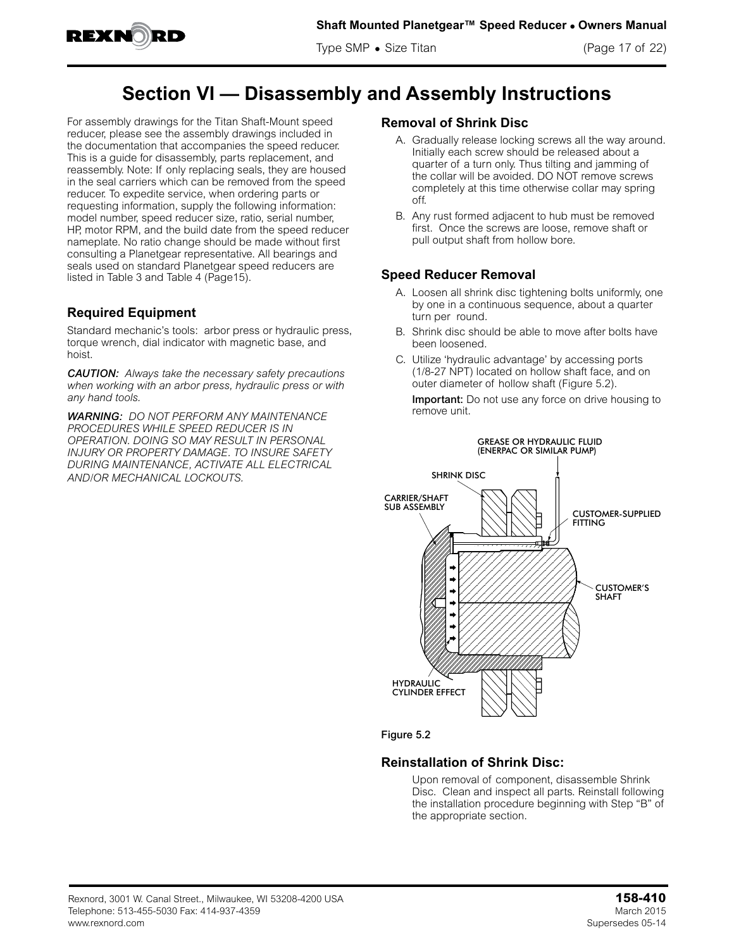

# **Section VI — Disassembly and Assembly Instructions**

For assembly drawings for the Titan Shaft-Mount speed reducer, please see the assembly drawings included in the documentation that accompanies the speed reducer. This is a guide for disassembly, parts replacement, and reassembly. Note: If only replacing seals, they are housed in the seal carriers which can be removed from the speed reducer. To expedite service, when ordering parts or requesting information, supply the following information: model number, speed reducer size, ratio, serial number, HP, motor RPM, and the build date from the speed reducer nameplate. No ratio change should be made without first consulting a Planetgear representative. All bearings and seals used on standard Planetgear speed reducers are listed in Table 3 and Table 4 (Page15).

#### **Required Equipment**

Standard mechanic's tools: arbor press or hydraulic press, torque wrench, dial indicator with magnetic base, and hoist.

*CAUTION: Always take the necessary safety precautions when working with an arbor press, hydraulic press or with any hand tools.*

*WARNING: DO NOT PERFORM ANY MAINTENANCE PROCEDURES WHILE SPEED REDUCER IS IN OPERATION. DOING SO MAY RESULT IN PERSONAL INJURY OR PROPERTY DAMAGE. TO INSURE SAFETY DURING MAINTENANCE, ACTIVATE ALL ELECTRICAL AND/OR MECHANICAL LOCKOUTS.*

#### **Removal of Shrink Disc**

- A. Gradually release locking screws all the way around. Initially each screw should be released about a quarter of a turn only. Thus tilting and jamming of the collar will be avoided. DO NOT remove screws completely at this time otherwise collar may spring off.
- B. Any rust formed adjacent to hub must be removed first. Once the screws are loose, remove shaft or pull output shaft from hollow bore.

#### **Speed Reducer Removal**

- A. Loosen all shrink disc tightening bolts uniformly, one by one in a continuous sequence, about a quarter turn per round.
- B. Shrink disc should be able to move after bolts have been loosened.
- C. Utilize 'hydraulic advantage' by accessing ports (1/8-27 NPT) located on hollow shaft face, and on outer diameter of hollow shaft (Figure 5.2).

Important: Do not use any force on drive housing to remove unit.



#### Figure 5.2

#### **Reinstallation of Shrink Disc:**

Upon removal of component, disassemble Shrink Disc. Clean and inspect all parts. Reinstall following the installation procedure beginning with Step "B" of the appropriate section.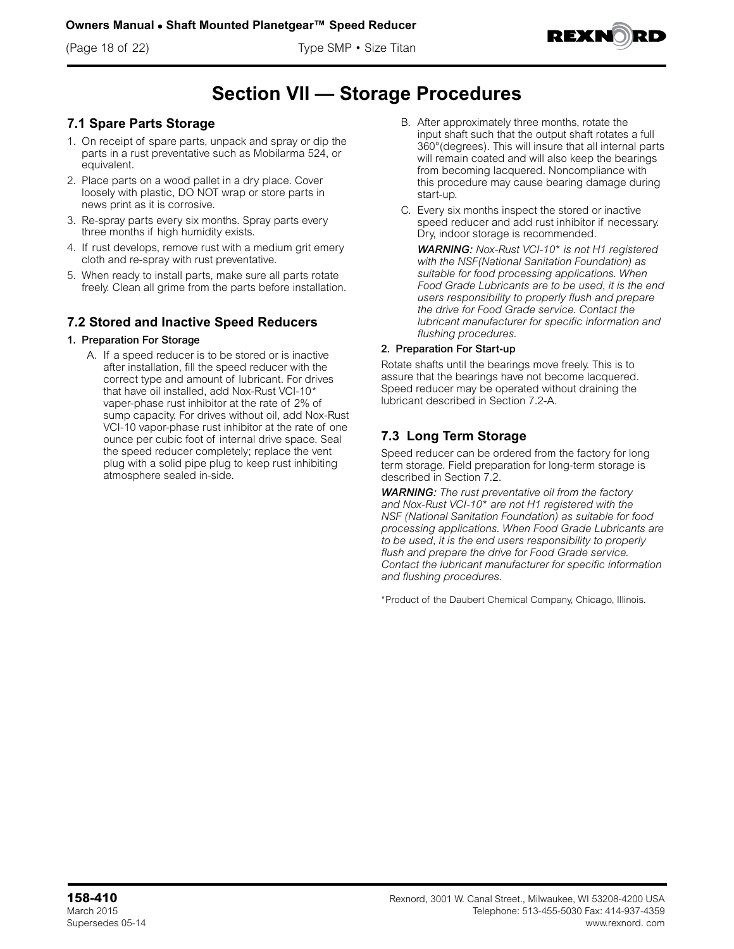(Page 18 of 22) Type SMP • Size Titan



## **Section VII — Storage Procedures**

#### **7.1 Spare Parts Storage**

- 1. On receipt of spare parts, unpack and spray or dip the parts in a rust preventative such as Mobilarma 524, or equivalent.
- 2. Place parts on a wood pallet in a dry place. Cover loosely with plastic, DO NOT wrap or store parts in news print as it is corrosive.
- 3. Re-spray parts every six months. Spray parts every three months if high humidity exists.
- 4. If rust develops, remove rust with a medium grit emery cloth and re-spray with rust preventative.
- 5. When ready to install parts, make sure all parts rotate freely. Clean all grime from the parts before installation.

#### **7.2 Stored and Inactive Speed Reducers**

#### 1. Preparation For Storage

A. If a speed reducer is to be stored or is inactive after installation, fill the speed reducer with the correct type and amount of lubricant. For drives that have oil installed, add Nox-Rust VCI-10*\**  vaper-phase rust inhibitor at the rate of 2% of sump capacity. For drives without oil, add Nox-Rust VCI-10 vapor-phase rust inhibitor at the rate of one ounce per cubic foot of internal drive space. Seal the speed reducer completely; replace the vent plug with a solid pipe plug to keep rust inhibiting atmosphere sealed in-side.

- B. After approximately three months, rotate the input shaft such that the output shaft rotates a full 360°(degrees). This will insure that all internal parts will remain coated and will also keep the bearings from becoming lacquered. Noncompliance with this procedure may cause bearing damage during start-up.
- C. Every six months inspect the stored or inactive speed reducer and add rust inhibitor if necessary. Dry, indoor storage is recommended.

*WARNING: Nox-Rust VCI-10\* is not H1 registered with the NSF(National Sanitation Foundation) as suitable for food processing applications. When Food Grade Lubricants are to be used, it is the end users responsibility to properly flush and prepare the drive for Food Grade service. Contact the lubricant manufacturer for specific information and flushing procedures.*

#### 2. Preparation For Start-up

Rotate shafts until the bearings move freely. This is to assure that the bearings have not become lacquered. Speed reducer may be operated without draining the lubricant described in Section 7.2-A.

## **7.3 Long Term Storage**

Speed reducer can be ordered from the factory for long term storage. Field preparation for long-term storage is described in Section 7.2.

*WARNING: The rust preventative oil from the factory and Nox-Rust VCI-10\* are not H1 registered with the NSF (National Sanitation Foundation) as suitable for food processing applications. When Food Grade Lubricants are to be used, it is the end users responsibility to properly flush and prepare the drive for Food Grade service. Contact the lubricant manufacturer for specific information and flushing procedures.*

\*Product of the Daubert Chemical Company, Chicago, Illinois.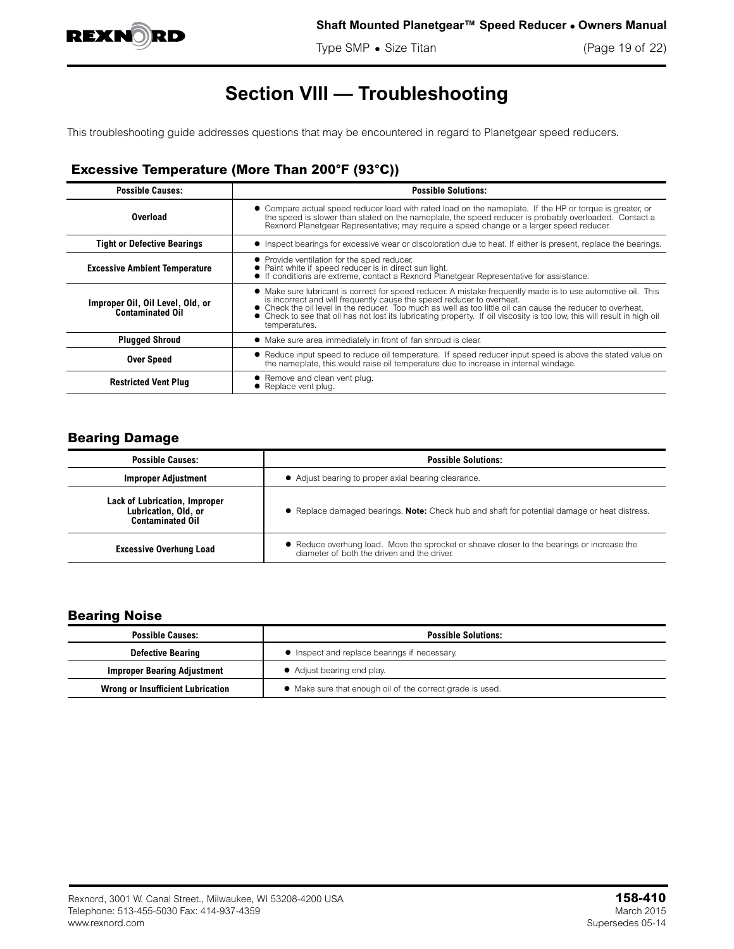

Type SMP • Size Titan (Page 19 of 22)

# **Section VIII — Troubleshooting**

This troubleshooting guide addresses questions that may be encountered in regard to Planetgear speed reducers.

## **Excessive Temperature (More Than 200°F (93°C))**

| <b>Possible Causes:</b>                                     | <b>Possible Solutions:</b>                                                                                                                                                                                                                                                                                                                                                                                                                      |  |  |  |
|-------------------------------------------------------------|-------------------------------------------------------------------------------------------------------------------------------------------------------------------------------------------------------------------------------------------------------------------------------------------------------------------------------------------------------------------------------------------------------------------------------------------------|--|--|--|
| <b>Overload</b>                                             | • Compare actual speed reducer load with rated load on the nameplate. If the HP or torque is greater, or<br>the speed is slower than stated on the nameplate, the speed reducer is probably overloaded. Contact a<br>Rexnord Planetgear Representative; may require a speed change or a larger speed reducer.                                                                                                                                   |  |  |  |
| <b>Tight or Defective Bearings</b>                          | • Inspect bearings for excessive wear or discoloration due to heat. If either is present, replace the bearings.                                                                                                                                                                                                                                                                                                                                 |  |  |  |
| <b>Excessive Ambient Temperature</b>                        | • Provide ventilation for the sped reducer.<br>Paint white if speed reducer is in direct sun light.<br>• If conditions are extreme, contact a Rexnord Planetgear Representative for assistance.                                                                                                                                                                                                                                                 |  |  |  |
| Improper Oil, Oil Level, Old, or<br><b>Contaminated Oil</b> | • Make sure lubricant is correct for speed reducer. A mistake frequently made is to use automotive oil. This<br>is incorrect and will frequently cause the speed reducer to overheat.<br>• Check the oil level in the reducer. Too much as well as too little oil can cause the reducer to overheat.<br>Check to see that oil has not lost its lubricating property. If oil viscosity is too low, this will result in high oil<br>temperatures. |  |  |  |
| <b>Plugged Shroud</b>                                       | • Make sure area immediately in front of fan shroud is clear.                                                                                                                                                                                                                                                                                                                                                                                   |  |  |  |
| <b>Over Speed</b>                                           | • Reduce input speed to reduce oil temperature. If speed reducer input speed is above the stated value on<br>the nameplate, this would raise oil temperature due to increase in internal windage.                                                                                                                                                                                                                                               |  |  |  |
| <b>Restricted Vent Plug</b>                                 | Remove and clean vent plug.<br>● Replace vent plug.                                                                                                                                                                                                                                                                                                                                                                                             |  |  |  |

#### **Bearing Damage**

| <b>Possible Causes:</b>                                                          | <b>Possible Solutions:</b>                                                                                                                |
|----------------------------------------------------------------------------------|-------------------------------------------------------------------------------------------------------------------------------------------|
| <b>Improper Adjustment</b>                                                       | • Adjust bearing to proper axial bearing clearance.                                                                                       |
| Lack of Lubrication, Improper<br>Lubrication, Old, or<br><b>Contaminated Oil</b> | • Replace damaged bearings. <b>Note:</b> Check hub and shaft for potential damage or heat distress.                                       |
| <b>Excessive Overhung Load</b>                                                   | • Reduce overhung load. Move the sprocket or sheave closer to the bearings or increase the<br>diameter of both the driven and the driver. |

### **Bearing Noise**

| <b>Possible Causes:</b>            | <b>Possible Solutions:</b>                                |  |  |  |
|------------------------------------|-----------------------------------------------------------|--|--|--|
| <b>Defective Bearing</b>           | • Inspect and replace bearings if necessary.              |  |  |  |
| <b>Improper Bearing Adjustment</b> | • Adjust bearing end play.                                |  |  |  |
| Wrong or Insufficient Lubrication  | • Make sure that enough oil of the correct grade is used. |  |  |  |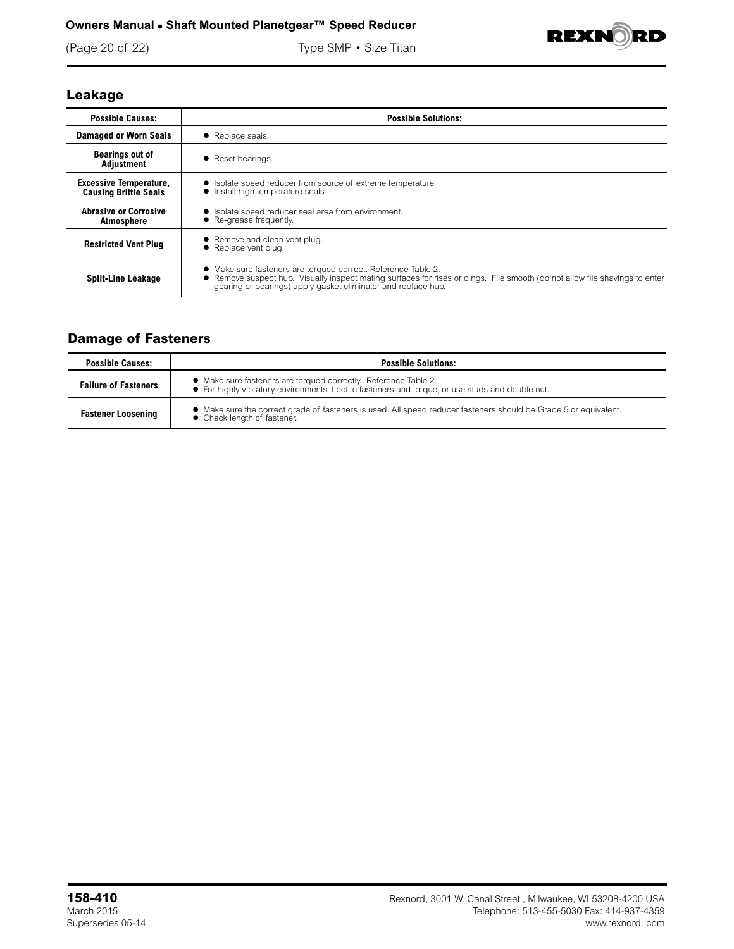### **Owners Manual • Shaft Mounted Planetgear™ Speed Reducer**

(Page 20 of 22) Type SMP • Size Titan



### **Leakage**

| <b>Possible Causes:</b>                                       | <b>Possible Solutions:</b>                                                                                                                                                                                                                                    |
|---------------------------------------------------------------|---------------------------------------------------------------------------------------------------------------------------------------------------------------------------------------------------------------------------------------------------------------|
| <b>Damaged or Worn Seals</b>                                  | • Replace seals.                                                                                                                                                                                                                                              |
| <b>Bearings out of</b><br><b>Adjustment</b>                   | • Reset bearings.                                                                                                                                                                                                                                             |
| <b>Excessive Temperature,</b><br><b>Causing Brittle Seals</b> | • Isolate speed reducer from source of extreme temperature.<br>• Install high temperature seals.                                                                                                                                                              |
| <b>Abrasive or Corrosive</b><br><b>Atmosphere</b>             | • Isolate speed reducer seal area from environment.<br>• Re-grease frequently.                                                                                                                                                                                |
| <b>Restricted Vent Plug</b>                                   | • Remove and clean vent plug.<br>• Replace vent plug.                                                                                                                                                                                                         |
| <b>Split-Line Leakage</b>                                     | • Make sure fasteners are torqued correct. Reference Table 2.<br>• Remove suspect hub. Visually inspect mating surfaces for rises or dings. File smooth (do not allow file shavings to enter<br>gearing or bearings) apply gasket eliminator and replace hub. |

## **Damage of Fasteners**

| <b>Possible Causes:</b>     | <b>Possible Solutions:</b>                                                                                                                                         |  |  |  |  |  |
|-----------------------------|--------------------------------------------------------------------------------------------------------------------------------------------------------------------|--|--|--|--|--|
| <b>Failure of Fasteners</b> | • Make sure fasteners are torqued correctly. Reference Table 2.<br>• For highly vibratory environments, Loctite fasteners and torque, or use studs and double nut. |  |  |  |  |  |
| <b>Fastener Loosening</b>   | ● Make sure the correct grade of fasteners is used. All speed reducer fasteners should be Grade 5 or equivalent.<br>● Check length of fastener.                    |  |  |  |  |  |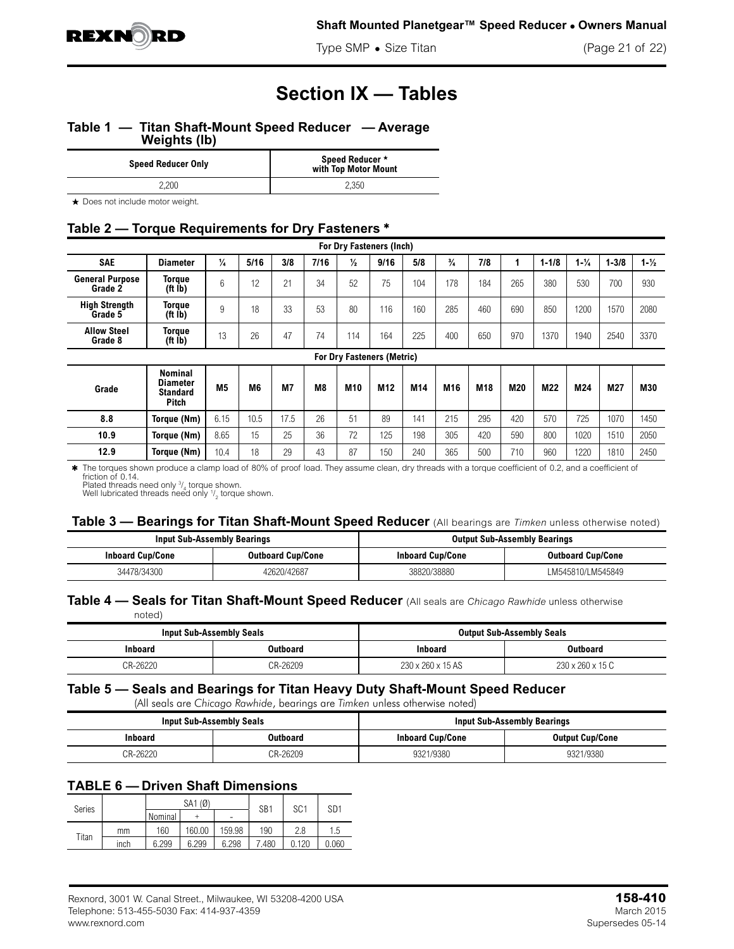

Type SMP • Size Titan (Page 21 of 22)

## **Section IX — Tables**

#### **Table 1 — Titan Shaft-Mount Speed Reducer — Average Weights (lb)**

| <b>Speed Reducer Only</b> | Speed Reducer ★<br>with Top Motor Mount |  |  |
|---------------------------|-----------------------------------------|--|--|
| 2.200                     | 2.350                                   |  |  |

 $\star$  Does not include motor weight.

### **Table 2 — Torque Requirements for Dry Fasteners** <sup>Q</sup>

| For Dry Fasteners (Inch)          |                                                        |               |                |                |                |                 |                                   |     |               |     |     |           |                   |           |                   |
|-----------------------------------|--------------------------------------------------------|---------------|----------------|----------------|----------------|-----------------|-----------------------------------|-----|---------------|-----|-----|-----------|-------------------|-----------|-------------------|
| <b>SAE</b>                        | <b>Diameter</b>                                        | $\frac{1}{4}$ | 5/16           | 3/8            | 7/16           | $\frac{1}{2}$   | 9/16                              | 5/8 | $\frac{3}{4}$ | 7/8 | 1   | $1 - 1/8$ | $1 - \frac{1}{4}$ | $1 - 3/8$ | $1 - \frac{1}{2}$ |
| <b>General Purpose</b><br>Grade 2 | <b>Torque</b><br>( <b>ft lb</b> )                      | 6             | 12             | 21             | 34             | 52              | 75                                | 104 | 178           | 184 | 265 | 380       | 530               | 700       | 930               |
| <b>High Strength</b><br>Grade 5   | <b>Torque</b><br>( <b>ft lb</b> )                      | 9             | 18             | 33             | 53             | 80              | 116                               | 160 | 285           | 460 | 690 | 850       | 1200              | 1570      | 2080              |
| <b>Allow Steel</b><br>Grade 8     | <b>Torque</b><br>(f <sup>t</sup> I <sup>b</sup> )      | 13            | 26             | 47             | 74             | 114             | 164                               | 225 | 400           | 650 | 970 | 1370      | 1940              | 2540      | 3370              |
|                                   |                                                        |               |                |                |                |                 | <b>For Dry Fasteners (Metric)</b> |     |               |     |     |           |                   |           |                   |
| Grade                             | <b>Nominal</b><br>Diameter<br>Standard<br><b>Pitch</b> | <b>M5</b>     | M <sub>6</sub> | M <sub>7</sub> | M <sub>8</sub> | M <sub>10</sub> | M <sub>12</sub>                   | M14 | M16           | M18 | M20 | M22       | M24               | M27       | M30               |
| 8.8                               | Torque (Nm)                                            | 6.15          | 10.5           | 17.5           | 26             | 51              | 89                                | 141 | 215           | 295 | 420 | 570       | 725               | 1070      | 1450              |
| 10.9                              | Torque (Nm)                                            | 8.65          | 15             | 25             | 36             | 72              | 125                               | 198 | 305           | 420 | 590 | 800       | 1020              | 1510      | 2050              |
| 12.9                              | Torque (Nm)                                            | 10.4          | 18             | 29             | 43             | 87              | 150                               | 240 | 365           | 500 | 710 | 960       | 1220              | 1810      | 2450              |

\* The torques shown produce a clamp load of 80% of proof load. They assume clean, dry threads with a torque coefficient of 0.2, and a coefficient of

friction of 0.14.<br>Plated threads need only ¾ torque shown.<br>Well lubricated threads need only ½ torque shown.

#### **Table 3 — Bearings for Titan Shaft-Mount Speed Reducer** (All bearings are *Timken* unless otherwise noted)

|                         | <b>Input Sub-Assembly Bearings</b> |                         | <b>Output Sub-Assembly Bearings</b> |  |  |
|-------------------------|------------------------------------|-------------------------|-------------------------------------|--|--|
| <b>Inboard Cup/Cone</b> | <b>Outboard Cup/Cone</b>           | <b>Inboard Cup/Cone</b> | <b>Outboard Cup/Cone</b>            |  |  |
| 34478/34300             | 42620/42687                        | 38820/38880             | LM545810/LM545849                   |  |  |

#### **Table 4 — Seals for Titan Shaft-Mount Speed Reducer** (All seals are *Chicago Rawhide* unless otherwise

noted)

| <b>Input Sub-Assembly Seals</b> |          | <b>Output Sub-Assembly Seals</b> |                  |  |  |
|---------------------------------|----------|----------------------------------|------------------|--|--|
| Inboard                         | Outboard | <b>Inboard</b>                   | Outboard         |  |  |
| CR-26220                        | CR-26209 | 230 x 260 x 15 AS                | 230 x 260 x 15 C |  |  |

#### **Table 5 — Seals and Bearings for Titan Heavy Duty Shaft-Mount Speed Reducer**

(All seals are *Chicago Rawhide*, bearings are *Timken* unless otherwise noted)

|          | <b>Input Sub-Assembly Seals</b> | <b>Input Sub-Assembly Bearings</b> |                        |  |  |
|----------|---------------------------------|------------------------------------|------------------------|--|--|
| Inboard  | )utboard                        | <b>Inboard Cup/Cone</b>            | <b>Output Cup/Cone</b> |  |  |
| CR-26220 | CR-26209                        | 321/9380                           | 9321/9380              |  |  |

#### **TABLE 6 — Driven Shaft Dimensions**

| Series |      |         | SA1 (Ø) |                          | SB <sub>1</sub> | SC <sub>1</sub> | SD <sub>1</sub> |
|--------|------|---------|---------|--------------------------|-----------------|-----------------|-----------------|
|        |      | Nominal |         | $\overline{\phantom{0}}$ |                 |                 |                 |
| Titan  | mm   | 160     | 160.00  | 159.98                   | 190             | 2.8             | 1.5             |
|        | inch | 6.299   | 6.299   | 6.298                    | 480             | 0.120           | 0.060           |